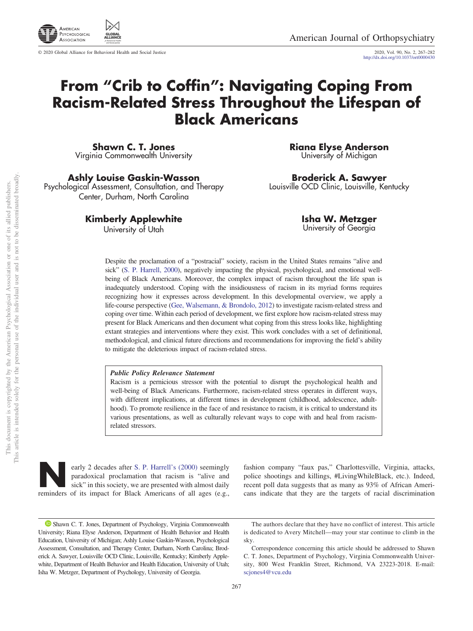

© 2020 Global Alliance for Behavioral Health and Social Justice

2020, Vol. 90, No. 2, 267–282<br>http://dx.doi.org[/10.1037/ort0000430](http://dx.doi.org/10.1037/ort0000430)

# **From "Crib to Coffin": Navigating Coping From Racism-Related Stress Throughout the Lifespan of Black Americans**

**Shawn C. T. Jones** Virginia Commonwealth University

**Ashly Louise Gaskin-Wasson** Psychological Assessment, Consultation, and Therapy Center, Durham, North Carolina

**Kimberly Applewhite**

University of Utah

**Riana Elyse Anderson** University of Michigan

**Broderick A. Sawyer** Louisville OCD Clinic, Louisville, Kentucky

> **Isha W. Metzger** University of Georgia

Despite the proclamation of a "postracial" society, racism in the United States remains "alive and sick" [\(S. P. Harrell, 2000\)](#page-12-0), negatively impacting the physical, psychological, and emotional wellbeing of Black Americans. Moreover, the complex impact of racism throughout the life span is inadequately understood. Coping with the insidiousness of racism in its myriad forms requires recognizing how it expresses across development. In this developmental overview, we apply a life-course perspective [\(Gee, Walsemann, & Brondolo, 2012\)](#page-12-1) to investigate racism-related stress and coping over time. Within each period of development, we first explore how racism-related stress may present for Black Americans and then document what coping from this stress looks like, highlighting extant strategies and interventions where they exist. This work concludes with a set of definitional, methodological, and clinical future directions and recommendations for improving the field's ability to mitigate the deleterious impact of racism-related stress.

#### *Public Policy Relevance Statement*

Racism is a pernicious stressor with the potential to disrupt the psychological health and well-being of Black Americans. Furthermore, racism-related stress operates in different ways, with different implications, at different times in development (childhood, adolescence, adulthood). To promote resilience in the face of and resistance to racism, it is critical to understand its various presentations, as well as culturally relevant ways to cope with and heal from racismrelated stressors.

early 2 decades after [S. P. Harrell's \(2000\)](#page-12-0) seemingly<br>paradoxical proclamation that racism is "alive and<br>sick" in this society, we are presented with almost daily<br>reminders of its impact for Black Americans of all ages (e paradoxical proclamation that racism is "alive and sick" in this society, we are presented with almost daily reminders of its impact for Black Americans of all ages (e.g.,

fashion company "faux pas," Charlottesville, Virginia, attacks, police shootings and killings, #LivingWhileBlack, etc.). Indeed, recent poll data suggests that as many as 93% of African Americans indicate that they are the targets of racial discrimination

<sup>&</sup>lt;sup>1</sup> [Shawn C. T. Jones,](https://orcid.org/0000-0002-0637-2388) Department of Psychology, Virginia Commonwealth University; Riana Elyse Anderson, Department of Health Behavior and Health Education, University of Michigan; Ashly Louise Gaskin-Wasson, Psychological Assessment, Consultation, and Therapy Center, Durham, North Carolina; Broderick A. Sawyer, Louisville OCD Clinic, Louisville, Kentucky; Kimberly Applewhite, Department of Health Behavior and Health Education, University of Utah; Isha W. Metzger, Department of Psychology, University of Georgia.

The authors declare that they have no conflict of interest. This article is dedicated to Avery Mitchell—may your star continue to climb in the sky.

Correspondence concerning this article should be addressed to Shawn C. T. Jones, Department of Psychology, Virginia Commonwealth University, 800 West Franklin Street, Richmond, VA 23223-2018. E-mail: [scjones4@vcu.edu](mailto:scjones4@vcu.edu)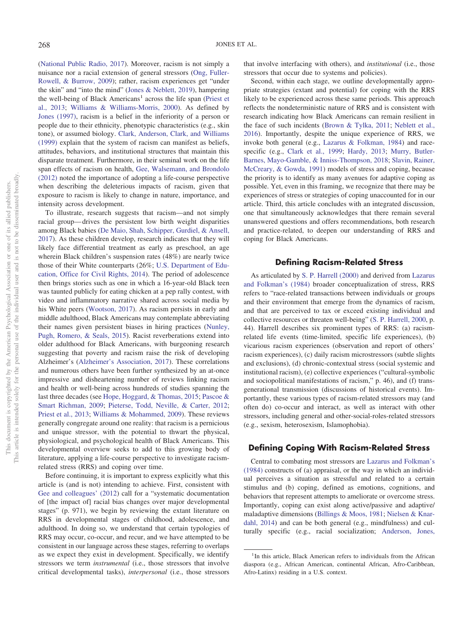[\(National Public Radio, 2017\)](#page-13-0). Moreover, racism is not simply a nuisance nor a racial extension of general stressors [\(Ong, Fuller-](#page-13-1)[Rowell, & Burrow, 2009\)](#page-13-1); rather, racism experiences get "under the skin" and "into the mind" [\(Jones & Neblett, 2019\)](#page-12-2), hampering the well-being of Black  $A$ mericans<sup>1</sup> across the life span [\(Priest et](#page-14-0) [al., 2013;](#page-14-0) [Williams & Williams-Morris, 2000\)](#page-15-0). As defined by [Jones \(1997\),](#page-12-3) racism is a belief in the inferiority of a person or people due to their ethnicity, phenotypic characteristics (e.g., skin tone), or assumed biology. [Clark, Anderson, Clark, and Williams](#page-11-0) [\(1999\)](#page-11-0) explain that the system of racism can manifest as beliefs, attitudes, behaviors, and institutional structures that maintain this disparate treatment. Furthermore, in their seminal work on the life span effects of racism on health, [Gee, Walsemann, and Brondolo](#page-12-1) [\(2012\)](#page-12-1) noted the importance of adopting a life-course perspective when describing the deleterious impacts of racism, given that exposure to racism is likely to change in nature, importance, and intensity across development.

To illustrate, research suggests that racism—and not simply racial group— drives the persistent low birth weight disparities among Black babies [\(De Maio, Shah, Schipper, Gurdiel, & Ansell,](#page-11-1) [2017\)](#page-11-1). As these children develop, research indicates that they will likely face differential treatment as early as preschool, an age wherein Black children's suspension rates (48%) are nearly twice those of their White counterparts (26%; [U.S. Department of Edu](#page-14-1)[cation, Office for Civil Rights, 2014\)](#page-14-1). The period of adolescence then brings stories such as one in which a 16-year-old Black teen was taunted publicly for eating chicken at a pep rally contest, with video and inflammatory narrative shared across social media by his White peers [\(Wootson, 2017\)](#page-15-1). As racism persists in early and middle adulthood, Black Americans may contemplate abbreviating their names given persistent biases in hiring practices [\(Nunley,](#page-13-2) [Pugh, Romero, & Seals, 2015\)](#page-13-2). Racist reverberations extend into older adulthood for Black Americans, with burgeoning research suggesting that poverty and racism raise the risk of developing Alzheimer's [\(Alzheimer's Association, 2017\)](#page-10-0). These correlations and numerous others have been further synthesized by an at-once impressive and disheartening number of reviews linking racism and health or well-being across hundreds of studies spanning the last three decades (see [Hope, Hoggard, & Thomas, 2015;](#page-12-4) [Pascoe &](#page-13-3) [Smart Richman, 2009;](#page-13-3) [Pieterse, Todd, Neville, & Carter, 2012;](#page-13-4) [Priest et al., 2013;](#page-14-0) [Williams & Mohammed, 2009\)](#page-14-2). These reviews generally congregate around one reality: that racism is a pernicious and unique stressor, with the potential to thwart the physical, physiological, and psychological health of Black Americans. This developmental overview seeks to add to this growing body of literature, applying a life-course perspective to investigate racismrelated stress (RRS) and coping over time.

Before continuing, it is important to express explicitly what this article is (and is not) intending to achieve. First, consistent with [Gee and colleagues' \(2012\)](#page-12-1) call for a "systematic documentation of [the impact of] racial bias changes over major developmental stages" (p. 971), we begin by reviewing the extant literature on RRS in developmental stages of childhood, adolescence, and adulthood. In doing so, we understand that certain typologies of RRS may occur, co-occur, and recur, and we have attempted to be consistent in our language across these stages, referring to overlaps as we expect they exist in development. Specifically, we identify stressors we term *instrumental* (i.e., those stressors that involve critical developmental tasks), *interpersonal* (i.e., those stressors

that involve interfacing with others), and *institutional* (i.e., those stressors that occur due to systems and policies).

Second, within each stage, we outline developmentally appropriate strategies (extant and potential) for coping with the RRS likely to be experienced across these same periods. This approach reflects the nondeterministic nature of RRS and is consistent with research indicating how Black Americans can remain resilient in the face of such incidents [\(Brown & Tylka, 2011;](#page-10-1) [Neblett et al.,](#page-13-5) [2016\)](#page-13-5). Importantly, despite the unique experience of RRS, we invoke both general (e.g., [Lazarus & Folkman, 1984\)](#page-13-6) and racespecific (e.g., [Clark et al., 1999;](#page-11-0) [Hardy, 2013;](#page-12-5) [Murry, Butler-](#page-13-7)[Barnes, Mayo-Gamble, & Inniss-Thompson, 2018;](#page-13-7) [Slavin, Rainer,](#page-14-3) [McCreary, & Gowda, 1991\)](#page-14-3) models of stress and coping, because the priority is to identify as many avenues for adaptive coping as possible. Yet, even in this framing, we recognize that there may be experiences of stress or strategies of coping unaccounted for in our article. Third, this article concludes with an integrated discussion, one that simultaneously acknowledges that there remain several unanswered questions and offers recommendations, both research and practice-related, to deepen our understanding of RRS and coping for Black Americans.

#### **Defining Racism-Related Stress**

As articulated by [S. P. Harrell \(2000\)](#page-12-0) and derived from [Lazarus](#page-13-6) [and Folkman's \(1984\)](#page-13-6) broader conceptualization of stress, RRS refers to "race-related transactions between individuals or groups and their environment that emerge from the dynamics of racism, and that are perceived to tax or exceed existing individual and collective resources or threaten well-being" [\(S. P. Harrell, 2000,](#page-12-0) p. 44). Harrell describes six prominent types of RRS: (a) racismrelated life events (time-limited, specific life experiences), (b) vicarious racism experiences (observation and report of others' racism experiences), (c) daily racism microstressors (subtle slights and exclusions), (d) chronic-contextual stress (social systemic and institutional racism), (e) collective experiences ("cultural-symbolic and sociopolitical manifestations of racism," p. 46), and (f) transgenerational transmission (discussions of historical events). Importantly, these various types of racism-related stressors may (and often do) co-occur and interact, as well as interact with other stressors, including general and other-social-roles-related stressors (e.g., sexism, heterosexism, Islamophobia).

## **Defining Coping With Racism-Related Stress**

Central to combating most stressors are [Lazarus and Folkman's](#page-13-6) [\(1984\)](#page-13-6) constructs of (a) appraisal, or the way in which an individual perceives a situation as stressful and related to a certain stimulus and (b) coping, defined as emotions, cognitions, and behaviors that represent attempts to ameliorate or overcome stress. Importantly, coping can exist along active/passive and adaptive/ maladaptive dimensions [\(Billings & Moos, 1981;](#page-10-2) [Nielsen & Knar](#page-13-8)[dahl, 2014\)](#page-13-8) and can be both general (e.g., mindfulness) and culturally specific (e.g., racial socialization; [Anderson, Jones,](#page-10-3)

<sup>&</sup>lt;sup>1</sup>In this article, Black American refers to individuals from the African diaspora (e.g., African American, continental African, Afro-Caribbean, Afro-Latinx) residing in a U.S. context.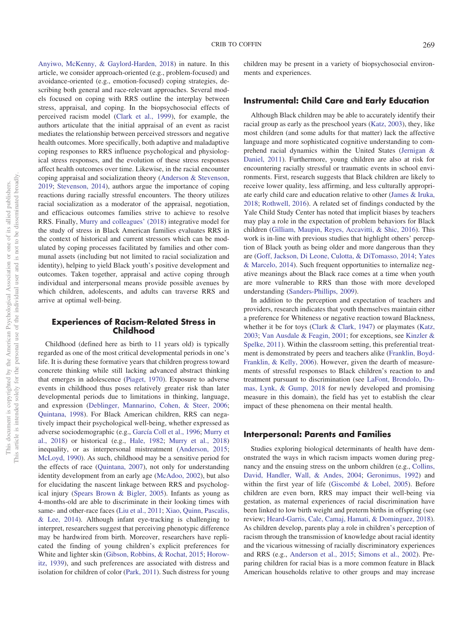[Anyiwo, McKenny, & Gaylord-Harden, 2018\)](#page-10-3) in nature. In this article, we consider approach-oriented (e.g., problem-focused) and avoidance-oriented (e.g., emotion-focused) coping strategies, describing both general and race-relevant approaches. Several models focused on coping with RRS outline the interplay between stress, appraisal, and coping. In the biopsychosocial effects of perceived racism model [\(Clark et al., 1999\)](#page-11-0), for example, the authors articulate that the initial appraisal of an event as racist mediates the relationship between perceived stressors and negative health outcomes. More specifically, both adaptive and maladaptive coping responses to RRS influence psychological and physiological stress responses, and the evolution of these stress responses affect health outcomes over time. Likewise, in the racial encounter coping appraisal and socialization theory [\(Anderson & Stevenson,](#page-10-4) [2019;](#page-10-4) [Stevenson, 2014\)](#page-14-4), authors argue the importance of coping reactions during racially stressful encounters. The theory utilizes racial socialization as a moderator of the appraisal, negotiation, and efficacious outcomes families strive to achieve to resolve RRS. Finally, [Murry and colleagues' \(2018\)](#page-13-7) integrative model for the study of stress in Black American families evaluates RRS in the context of historical and current stressors which can be modulated by coping processes facilitated by families and other communal assets (including but not limited to racial socialization and identity), helping to yield Black youth's positive development and outcomes. Taken together, appraisal and active coping through individual and interpersonal means provide possible avenues by which children, adolescents, and adults can traverse RRS and arrive at optimal well-being.

## **Experiences of Racism-Related Stress in Childhood**

Childhood (defined here as birth to 11 years old) is typically regarded as one of the most critical developmental periods in one's life. It is during these formative years that children progress toward concrete thinking while still lacking advanced abstract thinking that emerges in adolescence [\(Piaget, 1970\)](#page-13-9). Exposure to adverse events in childhood thus poses relatively greater risk than later developmental periods due to limitations in thinking, language, and expression [\(Deblinger, Mannarino, Cohen, & Steer, 2006;](#page-11-2) [Quintana, 1998\)](#page-14-5). For Black American children, RRS can negatively impact their psychological well-being, whether expressed as adverse sociodemographic (e.g., [García Coll et al., 1996;](#page-12-6) [Murry et](#page-13-7) [al., 2018\)](#page-13-7) or historical (e.g., [Hale, 1982;](#page-12-7) [Murry et al., 2018\)](#page-13-7) inequality, or as interpersonal mistreatment [\(Anderson, 2015;](#page-10-5) [McLoyd, 1990\)](#page-13-10). As such, childhood may be a sensitive period for the effects of race [\(Quintana, 2007\)](#page-14-6), not only for understanding identity development from an early age [\(McAdoo, 2002\)](#page-13-11), but also for elucidating the nascent linkage between RRS and psychological injury [\(Spears Brown & Bigler, 2005\)](#page-14-7). Infants as young as 4-months-old are able to discriminate in their looking times with same- and other-race faces [\(Liu et al., 2011;](#page-13-12) [Xiao, Quinn, Pascalis,](#page-15-2) [& Lee, 2014\)](#page-15-2). Although infant eye-tracking is challenging to interpret, researchers suggest that perceiving phenotypic difference may be hardwired from birth. Moreover, researchers have replicated the finding of young children's explicit preferences for White and lighter skin [\(Gibson, Robbins, & Rochat, 2015;](#page-12-8) [Horow](#page-12-9)[itz, 1939\)](#page-12-9), and such preferences are associated with distress and isolation for children of color [\(Park, 2011\)](#page-13-13). Such distress for young children may be present in a variety of biopsychosocial environments and experiences.

#### **Instrumental: Child Care and Early Education**

Although Black children may be able to accurately identify their racial group as early as the preschool years [\(Katz, 2003\)](#page-12-10), they, like most children (and some adults for that matter) lack the affective language and more sophisticated cognitive understanding to comprehend racial dynamics within the United States [\(Jernigan &](#page-12-11) [Daniel, 2011\)](#page-12-11). Furthermore, young children are also at risk for encountering racially stressful or traumatic events in school environments. First, research suggests that Black children are likely to receive lower quality, less affirming, and less culturally appropriate early child care and education relative to other [\(James & Iruka,](#page-12-12) [2018;](#page-12-12) [Rothwell, 2016\)](#page-14-8). A related set of findings conducted by the Yale Child Study Center has noted that implicit biases by teachers may play a role in the expectation of problem behaviors for Black children [\(Gilliam, Maupin, Reyes, Accavitti, & Shic, 2016\)](#page-12-13). This work is in-line with previous studies that highlight others' perception of Black youth as being older and more dangerous than they are [\(Goff, Jackson, Di Leone, Culotta, & DiTomasso, 2014;](#page-12-14) [Yates](#page-15-3) [& Marcelo, 2014\)](#page-15-3). Such frequent opportunities to internalize negative meanings about the Black race comes at a time when youth are more vulnerable to RRS than those with more developed understanding [\(Sanders-Phillips, 2009\)](#page-14-9).

In addition to the perception and expectation of teachers and providers, research indicates that youth themselves maintain either a preference for Whiteness or negative reaction toward Blackness, whether it be for toys [\(Clark & Clark, 1947\)](#page-11-3) or playmates [\(Katz,](#page-12-10) [2003;](#page-12-10) [Van Ausdale & Feagin, 2001;](#page-14-10) for exceptions, see [Kinzler &](#page-12-15) [Spelke, 2011\)](#page-12-15). Within the classroom setting, this preferential treatment is demonstrated by peers and teachers alike [\(Franklin, Boyd-](#page-11-4)[Franklin, & Kelly, 2006\)](#page-11-4). However, given the dearth of measurements of stressful responses to Black children's reaction to and treatment pursuant to discrimination (see [LaFont, Brondolo, Du](#page-12-16)[mas, Lynk, & Gump, 2018](#page-12-16) for newly developed and promising measure in this domain), the field has yet to establish the clear impact of these phenomena on their mental health.

#### **Interpersonal: Parents and Families**

Studies exploring biological determinants of health have demonstrated the ways in which racism impacts women during pregnancy and the ensuing stress on the unborn children (e.g., [Collins,](#page-11-5) [David, Handler, Wall, & Andes, 2004;](#page-11-5) [Geronimus, 1992\)](#page-12-17) and within the first year of life [\(Giscombé & Lobel, 2005\)](#page-12-18). Before children are even born, RRS may impact their well-being via gestation, as maternal experiences of racial discrimination have been linked to low birth weight and preterm births in offspring (see review; [Heard-Garris, Cale, Camaj, Hamati, & Dominguez, 2018\)](#page-12-19). As children develop, parents play a role in children's perception of racism through the transmission of knowledge about racial identity and the vicarious witnessing of racially discriminatory experiences and RRS (e.g., [Anderson et al., 2015;](#page-10-6) [Simons et al., 2002\)](#page-14-11). Preparing children for racial bias is a more common feature in Black American households relative to other groups and may increase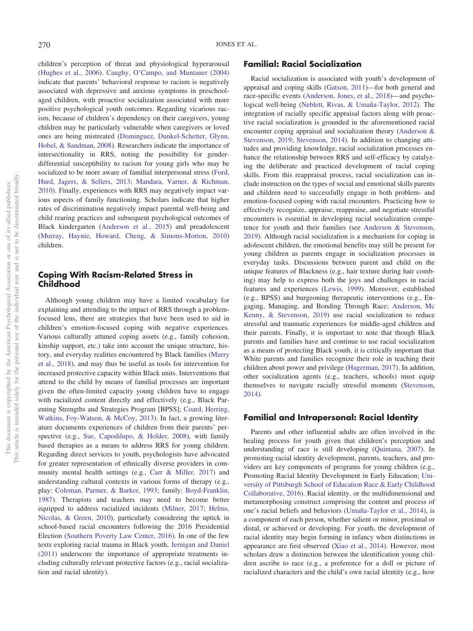children's perception of threat and physiological hyperarousal [\(Hughes et al., 2006\)](#page-12-20). [Caughy, O'Campo, and Muntaner \(2004\)](#page-11-6) indicate that parents' behavioral response to racism is negatively associated with depressive and anxious symptoms in preschoolaged children, with proactive socialization associated with more positive psychological youth outcomes. Regarding vicarious racism, because of children's dependency on their caregivers, young children may be particularly vulnerable when caregivers or loved ones are being mistreated [\(Dominguez, Dunkel-Schetter, Glynn,](#page-11-7) [Hobel, & Sandman, 2008\)](#page-11-7). Researchers indicate the importance of intersectionality in RRS, noting the possibility for genderdifferential susceptibility to racism for young girls who may be socialized to be more aware of familial interpersonal stress [\(Ford,](#page-11-8) [Hurd, Jagers, & Sellers, 2013;](#page-11-8) [Mandara, Varner, & Richman,](#page-13-14) [2010\)](#page-13-14). Finally, experiences with RRS may negatively impact various aspects of family functioning. Scholars indicate that higher rates of discrimination negatively impact parental well-being and child rearing practices and subsequent psychological outcomes of Black kindergarten [\(Anderson et al., 2015\)](#page-10-6) and preadolescent [\(Murray, Haynie, Howard, Cheng, & Simons-Morton, 2010\)](#page-13-15) children.

## **Coping With Racism-Related Stress in Childhood**

Although young children may have a limited vocabulary for explaining and attending to the impact of RRS through a problemfocused lens, there are strategies that have been used to aid in children's emotion-focused coping with negative experiences. Various culturally attuned coping assets (e.g., family cohesion, kinship support, etc.) take into account the unique structure, history, and everyday realities encountered by Black families [\(Murry](#page-13-7) [et al., 2018\)](#page-13-7), and may thus be useful as tools for intervention for increased protective capacity within Black units. Interventions that attend to the child by means of familial processes are important given the often-limited capacity young children have to engage with racialized content directly and effectively (e.g., Black Parenting Strengths and Strategies Program [BPSS]; [Coard, Herring,](#page-11-9) [Watkins, Foy-Watson, & McCoy, 2013\)](#page-11-9). In fact, a growing literature documents experiences of children from their parents' perspective (e.g., [Sue, Capodilupo, & Holder, 2008\)](#page-14-12), with family based therapies as a means to address RRS for young children. Regarding direct services to youth, psychologists have advocated for greater representation of ethnically diverse providers in community mental health settings (e.g., [Carr & Miller, 2017\)](#page-11-10) and understanding cultural contexts in various forms of therapy (e.g., play: [Coleman, Parmer, & Barker, 1993;](#page-11-11) family: [Boyd-Franklin,](#page-10-7) [1987\)](#page-10-7). Therapists and teachers may need to become better equipped to address racialized incidents [\(Milner, 2017;](#page-13-16) [Helms,](#page-12-21) [Nicolas, & Green, 2010\)](#page-12-21), particularly considering the uptick in school-based racial encounters following the 2016 Presidential Election [\(Southern Poverty Law Center, 2016\)](#page-14-13). In one of the few texts exploring racial trauma in Black youth, [Jernigan and Daniel](#page-12-11) [\(2011\)](#page-12-11) underscore the importance of appropriate treatments including culturally relevant protective factors (e.g., racial socialization and racial identity).

# **Familial: Racial Socialization**

Racial socialization is associated with youth's development of appraisal and coping skills [\(Gatson, 2011\)](#page-12-22)—for both general and race-specific events [\(Anderson, Jones, et al., 2018\)](#page-10-3)—and psychological well-being [\(Neblett, Rivas, & Umaña-Taylor, 2012\)](#page-13-17). The integration of racially specific appraisal factors along with proactive racial socialization is grounded in the aforementioned racial encounter coping appraisal and socialization theory [\(Anderson &](#page-10-4) [Stevenson, 2019;](#page-10-4) [Stevenson, 2014\)](#page-14-4). In addition to changing attitudes and providing knowledge, racial socialization processes enhance the relationship between RRS and self-efficacy by catalyzing the deliberate and practiced development of racial coping skills. From this reappraisal process, racial socialization can include instruction on the types of social and emotional skills parents and children need to successfully engage in both problem- and emotion-focused coping with racial encounters. Practicing how to effectively recognize, appraise, reappraise, and negotiate stressful encounters is essential in developing racial socialization competence for youth and their families (see [Anderson & Stevenson,](#page-10-4) [2019\)](#page-10-4). Although racial socialization is a mechanism for coping in adolescent children, the emotional benefits may still be present for young children as parents engage in socialization processes in everyday tasks. Discussions between parent and child on the unique features of Blackness (e.g., hair texture during hair combing) may help to express both the joys and challenges in racial features and experiences [\(Lewis, 1999\)](#page-13-18). Moreover, established (e.g., BPSS) and burgeoning therapeutic interventions (e.g., Engaging, Managing, and Bonding Through Race; [Anderson, Mc](#page-10-8) [Kenny, & Stevenson, 2019\)](#page-10-8) use racial socialization to reduce stressful and traumatic experiences for middle-aged children and their parents. Finally, it is important to note that though Black parents and families have and continue to use racial socialization as a means of protecting Black youth, it is critically important that White parents and families recognize their role in teaching their children about power and privilege [\(Hagerman, 2017\)](#page-12-23). In addition, other socialization agents (e.g., teachers, schools) must equip themselves to navigate racially stressful moments [\(Stevenson,](#page-14-4) [2014\)](#page-14-4).

#### **Familial and Intrapersonal: Racial Identity**

Parents and other influential adults are often involved in the healing process for youth given that children's perception and understanding of race is still developing [\(Quintana, 2007\)](#page-14-6). In promoting racial identity development, parents, teachers, and providers are key components of programs for young children (e.g., Promoting Racial Identity Development in Early Education; [Uni](#page-14-14)[versity of Pittsburgh School of Education Race & Early Childhood](#page-14-14) [Collaborative, 2016\)](#page-14-14). Racial identity, or the multidimensional and metamorphosing construct comprising the content and process of one's racial beliefs and behaviors [\(Umaña-Taylor et al., 2014\)](#page-14-15), is a component of each person, whether salient or minor, proximal or distal, or achieved or developing. For youth, the development of racial identity may begin forming in infancy when distinctions in appearance are first observed [\(Xiao et al., 2014\)](#page-15-2). However, most scholars draw a distinction between the identification young children ascribe to race (e.g., a preference for a doll or picture of racialized characters and the child's own racial identity (e.g., how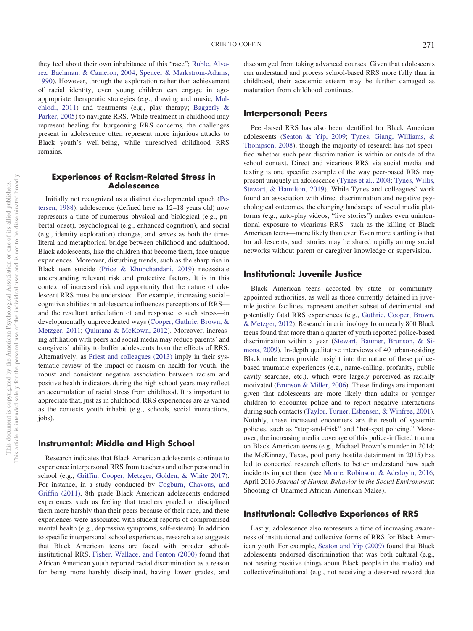they feel about their own inhabitance of this "race"; [Ruble, Alva](#page-14-16)[rez, Bachman, & Cameron, 2004;](#page-14-16) [Spencer & Markstrom-Adams,](#page-14-17) [1990\)](#page-14-17). However, through the exploration rather than achievement of racial identity, even young children can engage in ageappropriate therapeutic strategies (e.g., drawing and music; [Mal](#page-13-19)[chiodi, 2011\)](#page-13-19) and treatments (e.g., play therapy; [Baggerly &](#page-10-9) [Parker, 2005\)](#page-10-9) to navigate RRS. While treatment in childhood may represent healing for burgeoning RRS concerns, the challenges present in adolescence often represent more injurious attacks to Black youth's well-being, while unresolved childhood RRS remains.

### **Experiences of Racism-Related Stress in Adolescence**

Initially not recognized as a distinct developmental epoch [\(Pe](#page-13-20)[tersen, 1988\)](#page-13-20), adolescence (defined here as 12–18 years old) now represents a time of numerous physical and biological (e.g., pubertal onset), psychological (e.g., enhanced cognition), and social (e.g., identity exploration) changes, and serves as both the timeliteral and metaphorical bridge between childhood and adulthood. Black adolescents, like the children that become them, face unique experiences. Moreover, disturbing trends, such as the sharp rise in Black teen suicide [\(Price & Khubchandani, 2019\)](#page-13-21) necessitate understanding relevant risk and protective factors. It is in this context of increased risk and opportunity that the nature of adolescent RRS must be understood. For example, increasing social– cognitive abilities in adolescence influences perceptions of RRS and the resultant articulation of and response to such stress—in developmentally unprecedented ways [\(Cooper, Guthrie, Brown, &](#page-11-12) [Metzger, 2011;](#page-11-12) [Quintana & McKown, 2012\)](#page-14-18). Moreover, increasing affiliation with peers and social media may reduce parents' and caregivers' ability to buffer adolescents from the effects of RRS. Alternatively, as [Priest and colleagues \(2013\)](#page-14-0) imply in their systematic review of the impact of racism on health for youth, the robust and consistent negative association between racism and positive health indicators during the high school years may reflect an accumulation of racial stress from childhood. It is important to appreciate that, just as in childhood, RRS experiences are as varied as the contexts youth inhabit (e.g., schools, social interactions, jobs).

# **Instrumental: Middle and High School**

Research indicates that Black American adolescents continue to experience interpersonal RRS from teachers and other personnel in school (e.g., [Griffin, Cooper, Metzger, Golden, & White 2017\)](#page-12-24). For instance, in a study conducted by [Cogburn, Chavous, and](#page-11-13) [Griffin \(2011\),](#page-11-13) 8th grade Black American adolescents endorsed experiences such as feeling that teachers graded or disciplined them more harshly than their peers because of their race, and these experiences were associated with student reports of compromised mental health (e.g., depressive symptoms, self-esteem). In addition to specific interpersonal school experiences, research also suggests that Black American teens are faced with broader schoolinstitutional RRS. [Fisher, Wallace, and Fenton \(2000\)](#page-11-14) found that African American youth reported racial discrimination as a reason for being more harshly disciplined, having lower grades, and

discouraged from taking advanced courses. Given that adolescents can understand and process school-based RRS more fully than in childhood, their academic esteem may be further damaged as maturation from childhood continues.

## **Interpersonal: Peers**

Peer-based RRS has also been identified for Black American adolescents [\(Seaton & Yip, 2009;](#page-14-19) [Tynes, Giang, Williams, &](#page-14-20) [Thompson, 2008\)](#page-14-20), though the majority of research has not specified whether such peer discrimination is within or outside of the school context. Direct and vicarious RRS via social media and texting is one specific example of the way peer-based RRS may present uniquely in adolescence [\(Tynes et al., 2008;](#page-14-20) [Tynes, Willis,](#page-14-21) [Stewart, & Hamilton, 2019\)](#page-14-21). While Tynes and colleagues' work found an association with direct discrimination and negative psychological outcomes, the changing landscape of social media platforms (e.g., auto-play videos, "live stories") makes even unintentional exposure to vicarious RRS—such as the killing of Black American teens—more likely than ever. Even more startling is that for adolescents, such stories may be shared rapidly among social networks without parent or caregiver knowledge or supervision.

## **Institutional: Juvenile Justice**

Black American teens accosted by state- or communityappointed authorities, as well as those currently detained in juvenile justice facilities, represent another subset of detrimental and potentially fatal RRS experiences (e.g., [Guthrie, Cooper, Brown,](#page-12-25) [& Metzger, 2012\)](#page-12-25). Research in criminology from nearly 800 Black teens found that more than a quarter of youth reported police-based discrimination within a year [\(Stewart, Baumer, Brunson, & Si](#page-14-22)[mons, 2009\)](#page-14-22). In-depth qualitative interviews of 40 urban-residing Black male teens provide insight into the nature of these policebased traumatic experiences (e.g., name-calling, profanity, public cavity searches, etc.), which were largely perceived as racially motivated [\(Brunson & Miller, 2006\)](#page-10-10). These findings are important given that adolescents are more likely than adults or younger children to encounter police and to report negative interactions during such contacts [\(Taylor, Turner, Esbensen, & Winfree, 2001\)](#page-14-23). Notably, these increased encounters are the result of systemic policies, such as "stop-and-frisk" and "hot-spot policing." Moreover, the increasing media coverage of this police-inflicted trauma on Black American teens (e.g., Michael Brown's murder in 2014; the McKinney, Texas, pool party hostile detainment in 2015) has led to concerted research efforts to better understand how such incidents impact them (see [Moore, Robinson, & Adedoyin, 2016;](#page-13-22) April 2016 *Journal of Human Behavior in the Social Environment*: Shooting of Unarmed African American Males).

#### **Institutional: Collective Experiences of RRS**

Lastly, adolescence also represents a time of increasing awareness of institutional and collective forms of RRS for Black American youth. For example, [Seaton and Yip \(2009\)](#page-14-19) found that Black adolescents endorsed discrimination that was both cultural (e.g., not hearing positive things about Black people in the media) and collective/institutional (e.g., not receiving a deserved reward due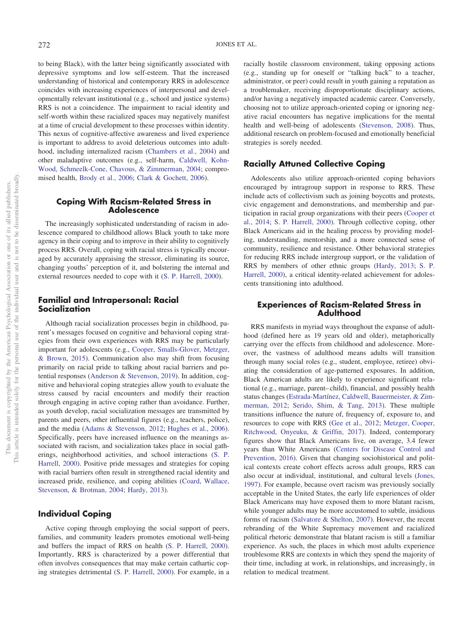to being Black), with the latter being significantly associated with depressive symptoms and low self-esteem. That the increased understanding of historical and contemporary RRS in adolescence coincides with increasing experiences of interpersonal and developmentally relevant institutional (e.g., school and justice systems) RRS is not a coincidence. The impairment to racial identity and self-worth within these racialized spaces may negatively manifest at a time of crucial development to these processes within identity. This nexus of cognitive-affective awareness and lived experience is important to address to avoid deleterious outcomes into adulthood, including internalized racism [\(Chambers et al., 2004\)](#page-11-15) and other maladaptive outcomes (e.g., self-harm, [Caldwell, Kohn-](#page-10-11)[Wood, Schmeelk-Cone, Chavous, & Zimmerman, 2004;](#page-10-11) compromised health, [Brody et al., 2006;](#page-10-12) [Clark & Gochett, 2006\)](#page-11-16).

### **Coping With Racism-Related Stress in Adolescence**

The increasingly sophisticated understanding of racism in adolescence compared to childhood allows Black youth to take more agency in their coping and to improve in their ability to cognitively process RRS. Overall, coping with racial stress is typically encouraged by accurately appraising the stressor, eliminating its source, changing youths' perception of it, and bolstering the internal and external resources needed to cope with it [\(S. P. Harrell, 2000\)](#page-12-0).

## **Familial and Intrapersonal: Racial Socialization**

Although racial socialization processes begin in childhood, parent's messages focused on cognitive and behavioral coping strategies from their own experiences with RRS may be particularly important for adolescents (e.g., [Cooper, Smalls-Glover, Metzger,](#page-11-17) [& Brown, 2015\)](#page-11-17). Communication also may shift from focusing primarily on racial pride to talking about racial barriers and potential responses [\(Anderson & Stevenson, 2019\)](#page-10-4). In addition, cognitive and behavioral coping strategies allow youth to evaluate the stress caused by racial encounters and modify their reaction through engaging in active coping rather than avoidance. Further, as youth develop, racial socialization messages are transmitted by parents and peers, other influential figures (e.g., teachers, police), and the media [\(Adams & Stevenson, 2012;](#page-10-13) [Hughes et al., 2006\)](#page-12-20). Specifically, peers have increased influence on the meanings associated with racism, and socialization takes place in social gatherings, neighborhood activities, and school interactions [\(S. P.](#page-12-0) [Harrell, 2000\)](#page-12-0). Positive pride messages and strategies for coping with racial barriers often result in strengthened racial identity and increased pride, resilience, and coping abilities [\(Coard, Wallace,](#page-11-18) [Stevenson, & Brotman, 2004;](#page-11-18) [Hardy, 2013\)](#page-12-5).

#### **Individual Coping**

Active coping through employing the social support of peers, families, and community leaders promotes emotional well-being and buffers the impact of RRS on health [\(S. P. Harrell, 2000\)](#page-12-0). Importantly, RRS is characterized by a power differential that often involves consequences that may make certain cathartic coping strategies detrimental [\(S. P. Harrell, 2000\)](#page-12-0). For example, in a

racially hostile classroom environment, taking opposing actions (e.g., standing up for oneself or "talking back" to a teacher, administrator, or peer) could result in youth gaining a reputation as a troublemaker, receiving disproportionate disciplinary actions, and/or having a negatively impacted academic career. Conversely, choosing not to utilize approach-oriented coping or ignoring negative racial encounters has negative implications for the mental health and well-being of adolescents [\(Stevenson, 2008\)](#page-14-24). Thus, additional research on problem-focused and emotionally beneficial strategies is sorely needed.

## **Racially Attuned Collective Coping**

Adolescents also utilize approach-oriented coping behaviors encouraged by intragroup support in response to RRS. These include acts of collectivism such as joining boycotts and protests, civic engagement and demonstrations, and membership and participation in racial group organizations with their peers [\(Cooper et](#page-11-19) [al., 2014;](#page-11-19) [S. P. Harrell, 2000\)](#page-12-0). Through collective coping, other Black Americans aid in the healing process by providing modeling, understanding, mentorship, and a more connected sense of community, resilience and resistance. Other behavioral strategies for reducing RRS include intergroup support, or the validation of RRS by members of other ethnic groups [\(Hardy, 2013;](#page-12-5) [S. P.](#page-12-0) [Harrell, 2000\)](#page-12-0), a critical identity-related achievement for adolescents transitioning into adulthood.

#### **Experiences of Racism-Related Stress in Adulthood**

RRS manifests in myriad ways throughout the expanse of adulthood (defined here as 19 years old and older), metaphorically carrying over the effects from childhood and adolescence. Moreover, the vastness of adulthood means adults will transition through many social roles (e.g., student, employee, retiree) obviating the consideration of age-patterned exposures. In addition, Black American adults are likely to experience significant relational (e.g., marriage, parent– child), financial, and possibly health status changes [\(Estrada-Martínez, Caldwell, Bauermeister, & Zim](#page-11-20)[merman, 2012;](#page-11-20) [Serido, Shim, & Tang, 2013\)](#page-14-25). These multiple transitions influence the nature of, frequency of, exposure to, and resources to cope with RRS [\(Gee et al., 2012;](#page-12-1) [Metzger, Cooper,](#page-13-23) [Ritchwood, Onyeuku, & Griffin, 2017\)](#page-13-23). Indeed, contemporary figures show that Black Americans live, on average, 3.4 fewer years than White Americans [\(Centers for Disease Control and](#page-11-21) [Prevention, 2016\)](#page-11-21). Given that changing sociohistorical and political contexts create cohort effects across adult groups, RRS can also occur at individual, institutional, and cultural levels [\(Jones,](#page-12-3) [1997\)](#page-12-3). For example, because overt racism was previously socially acceptable in the United States, the early life experiences of older Black Americans may have exposed them to more blatant racism, while younger adults may be more accustomed to subtle, insidious forms of racism [\(Salvatore & Shelton, 2007\)](#page-14-26). However, the recent rebranding of the White Supremacy movement and racialized political rhetoric demonstrate that blatant racism is still a familiar experience. As such, the places in which most adults experience troublesome RRS are contexts in which they spend the majority of their time, including at work, in relationships, and increasingly, in relation to medical treatment.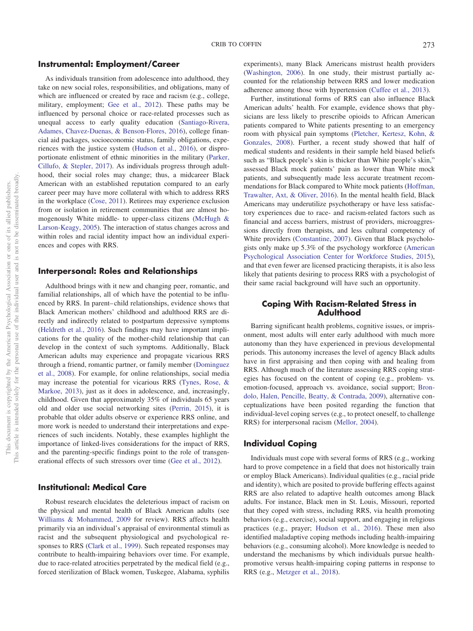As individuals transition from adolescence into adulthood, they take on new social roles, responsibilities, and obligations, many of which are influenced or created by race and racism (e.g., college, military, employment; [Gee et al., 2012\)](#page-12-1). These paths may be influenced by personal choice or race-related processes such as unequal access to early quality education [\(Santiago-Rivera,](#page-14-27) [Adames, Chavez-Duenas, & Benson-Flores, 2016\)](#page-14-27), college financial aid packages, socioeconomic status, family obligations, experiences with the justice system [\(Hudson et al., 2016\)](#page-12-26), or disproportionate enlistment of ethnic minorities in the military [\(Parker,](#page-13-24) [Cillufo, & Stepler, 2017\)](#page-13-24). As individuals progress through adulthood, their social roles may change; thus, a midcareer Black American with an established reputation compared to an early career peer may have more collateral with which to address RRS in the workplace [\(Cose, 2011\)](#page-11-22). Retirees may experience exclusion from or isolation in retirement communities that are almost homogenously White middle- to upper-class citizens [\(McHugh &](#page-13-25) [Larson-Keagy, 2005\)](#page-13-25). The interaction of status changes across and within roles and racial identity impact how an individual experiences and copes with RRS.

## **Interpersonal: Roles and Relationships**

Adulthood brings with it new and changing peer, romantic, and familial relationships, all of which have the potential to be influenced by RRS. In parent– child relationships, evidence shows that Black American mothers' childhood and adulthood RRS are directly and indirectly related to postpartum depressive symptoms [\(Heldreth et al., 2016\)](#page-12-27). Such findings may have important implications for the quality of the mother-child relationship that can develop in the context of such symptoms. Additionally, Black American adults may experience and propagate vicarious RRS through a friend, romantic partner, or family member [\(Dominguez](#page-11-7) [et al., 2008\)](#page-11-7). For example, for online relationships, social media may increase the potential for vicarious RRS [\(Tynes, Rose, &](#page-14-28) [Markoe, 2013\)](#page-14-28), just as it does in adolescence, and, increasingly, childhood. Given that approximately 35% of individuals 65 years old and older use social networking sites [\(Perrin, 2015\)](#page-13-26), it is probable that older adults observe or experience RRS online, and more work is needed to understand their interpretations and experiences of such incidents. Notably, these examples highlight the importance of linked-lives considerations for the impact of RRS, and the parenting-specific findings point to the role of transgenerational effects of such stressors over time [\(Gee et al., 2012\)](#page-12-1).

#### **Institutional: Medical Care**

Robust research elucidates the deleterious impact of racism on the physical and mental health of Black American adults (see [Williams & Mohammed, 2009](#page-14-2) for review). RRS affects health primarily via an individual's appraisal of environmental stimuli as racist and the subsequent physiological and psychological responses to RRS [\(Clark et al., 1999\)](#page-11-0). Such repeated responses may contribute to health-impairing behaviors over time. For example, due to race-related atrocities perpetrated by the medical field (e.g., forced sterilization of Black women, Tuskegee, Alabama, syphilis

experiments), many Black Americans mistrust health providers [\(Washington, 2006\)](#page-14-29). In one study, their mistrust partially accounted for the relationship between RRS and lower medication adherence among those with hypertension [\(Cuffee et al., 2013\)](#page-11-23).

Further, institutional forms of RRS can also influence Black American adults' health. For example, evidence shows that physicians are less likely to prescribe opioids to African American patients compared to White patients presenting to an emergency room with physical pain symptoms [\(Pletcher, Kertesz, Kohn, &](#page-13-27) [Gonzales, 2008\)](#page-13-27). Further, a recent study showed that half of medical students and residents in their sample held biased beliefs such as "Black people's skin is thicker than White people's skin," assessed Black mock patients' pain as lower than White mock patients, and subsequently made less accurate treatment recommendations for Black compared to White mock patients [\(Hoffman,](#page-12-28) [Trawalter, Axt, & Oliver, 2016\)](#page-12-28). In the mental health field, Black Americans may underutilize psychotherapy or have less satisfactory experiences due to race- and racism-related factors such as financial and access barriers, mistrust of providers, microaggressions directly from therapists, and less cultural competency of White providers [\(Constantine, 2007\)](#page-11-24). Given that Black psychologists only make up 5.3% of the psychology workforce [\(American](#page-10-14) [Psychological Association Center for Workforce Studies, 2015\)](#page-10-14), and that even fewer are licensed practicing therapists, it is also less likely that patients desiring to process RRS with a psychologist of their same racial background will have such an opportunity.

#### **Coping With Racism-Related Stress in Adulthood**

Barring significant health problems, cognitive issues, or imprisonment, most adults will enter early adulthood with much more autonomy than they have experienced in previous developmental periods. This autonomy increases the level of agency Black adults have in first appraising and then coping with and healing from RRS. Although much of the literature assessing RRS coping strategies has focused on the content of coping (e.g., problem- vs. emotion-focused, approach vs. avoidance, social support; [Bron](#page-10-15)[dolo, Halen, Pencille, Beatty, & Contrada, 2009\)](#page-10-15), alternative conceptualizations have been posited regarding the function that individual-level coping serves (e.g., to protect oneself, to challenge RRS) for interpersonal racism [\(Mellor, 2004\)](#page-13-28).

## **Individual Coping**

Individuals must cope with several forms of RRS (e.g., working hard to prove competence in a field that does not historically train or employ Black Americans). Individual qualities (e.g., racial pride and identity), which are posited to provide buffering effects against RRS are also related to adaptive health outcomes among Black adults. For instance, Black men in St. Louis, Missouri, reported that they coped with stress, including RRS, via health promoting behaviors (e.g., exercise), social support, and engaging in religious practices (e.g., prayer; [Hudson et al., 2016\)](#page-12-26). These men also identified maladaptive coping methods including health-impairing behaviors (e.g., consuming alcohol). More knowledge is needed to understand the mechanisms by which individuals pursue healthpromotive versus health-impairing coping patterns in response to RRS (e.g., [Metzger et al., 2018\)](#page-13-29).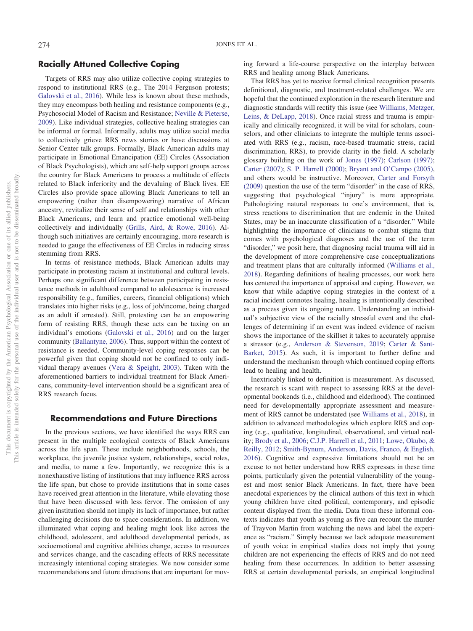#### **Racially Attuned Collective Coping**

Targets of RRS may also utilize collective coping strategies to respond to institutional RRS (e.g., The 2014 Ferguson protests; [Galovski et al., 2016\)](#page-11-25). While less is known about these methods, they may encompass both healing and resistance components (e.g., Psychosocial Model of Racism and Resistance; [Neville & Pieterse,](#page-13-30) [2009\)](#page-13-30). Like individual strategies, collective healing strategies can be informal or formal. Informally, adults may utilize social media to collectively grieve RRS news stories or have discussions at Senior Center talk groups. Formally, Black American adults may participate in Emotional Emancipation (EE) Circles (Association of Black Psychologists), which are self-help support groups across the country for Black Americans to process a multitude of effects related to Black inferiority and the devaluing of Black lives. EE Circles also provide space allowing Black Americans to tell an empowering (rather than disempowering) narrative of African ancestry, revitalize their sense of self and relationships with other Black Americans, and learn and practice emotional well-being collectively and individually [\(Grills, Aird, & Rowe, 2016\)](#page-12-29). Although such initiatives are certainly encouraging, more research is needed to gauge the effectiveness of EE Circles in reducing stress stemming from RRS.

In terms of resistance methods, Black American adults may participate in protesting racism at institutional and cultural levels. Perhaps one significant difference between participating in resistance methods in adulthood compared to adolescence is increased responsibility (e.g., families, careers, financial obligations) which translates into higher risks (e.g., loss of job/income, being charged as an adult if arrested). Still, protesting can be an empowering form of resisting RRS, though these acts can be taxing on an individual's emotions [\(Galovski et al., 2016\)](#page-11-25) and on the larger community [\(Ballantyne, 2006\)](#page-10-16). Thus, support within the context of resistance is needed. Community-level coping responses can be powerful given that coping should not be confined to only individual therapy avenues [\(Vera & Speight, 2003\)](#page-14-30). Taken with the aforementioned barriers to individual treatment for Black Americans, community-level intervention should be a significant area of RRS research focus.

#### **Recommendations and Future Directions**

In the previous sections, we have identified the ways RRS can present in the multiple ecological contexts of Black Americans across the life span. These include neighborhoods, schools, the workplace, the juvenile justice system, relationships, social roles, and media, to name a few. Importantly, we recognize this is a nonexhaustive listing of institutions that may influence RRS across the life span, but chose to provide institutions that in some cases have received great attention in the literature, while elevating those that have been discussed with less fervor. The omission of any given institution should not imply its lack of importance, but rather challenging decisions due to space considerations. In addition, we illuminated what coping and healing might look like across the childhood, adolescent, and adulthood developmental periods, as socioemotional and cognitive abilities change, access to resources and services change, and the cascading effects of RRS necessitate increasingly intentional coping strategies. We now consider some recommendations and future directions that are important for moving forward a life-course perspective on the interplay between RRS and healing among Black Americans.

That RRS has yet to receive formal clinical recognition presents definitional, diagnostic, and treatment-related challenges. We are hopeful that the continued exploration in the research literature and diagnostic standards will rectify this issue (see [Williams, Metzger,](#page-15-4) [Leins, & DeLapp, 2018\)](#page-15-4). Once racial stress and trauma is empirically and clinically recognized, it will be vital for scholars, counselors, and other clinicians to integrate the multiple terms associated with RRS (e.g., racism, race-based traumatic stress, racial discrimination, RRS), to provide clarity in the field. A scholarly glossary building on the work of [Jones \(1997\);](#page-12-3) [Carlson \(1997\);](#page-10-17) [Carter \(2007\);](#page-11-26) [S. P. Harrell \(2000\);](#page-12-0) [Bryant and O'Campo \(2005\),](#page-10-18) and others would be instructive. Moreover, [Carter and Forsyth](#page-11-27) [\(2009\)](#page-11-27) question the use of the term "disorder" in the case of RRS, suggesting that psychological "injury" is more appropriate. Pathologizing natural responses to one's environment, that is, stress reactions to discrimination that are endemic in the United States, may be an inaccurate classification of a "disorder." While highlighting the importance of clinicians to combat stigma that comes with psychological diagnoses and the use of the term "disorder," we posit here, that diagnosing racial trauma will aid in the development of more comprehensive case conceptualizations and treatment plans that are culturally informed [\(Williams et al.,](#page-15-4) [2018\)](#page-15-4). Regarding definitions of healing processes, our work here has centered the importance of appraisal and coping. However, we know that while adaptive coping strategies in the context of a racial incident connotes healing, healing is intentionally described as a process given its ongoing nature. Understanding an individual's subjective view of the racially stressful event and the challenges of determining if an event was indeed evidence of racism shows the importance of the skillset it takes to accurately appraise a stressor (e.g., [Anderson & Stevenson, 2019;](#page-10-4) [Carter & Sant-](#page-11-28)[Barket, 2015\)](#page-11-28). As such, it is important to further define and understand the mechanism through which continued coping efforts lead to healing and health.

Inextricably linked to definition is measurement. As discussed, the research is scant with respect to assessing RRS at the developmental bookends (i.e., childhood and elderhood). The continued need for developmentally appropriate assessment and measurement of RRS cannot be understated (see [Williams et al., 2018\)](#page-15-4), in addition to advanced methodologies which explore RRS and coping (e.g., qualitative, longitudinal, observational, and virtual reality; [Brody et al., 2006;](#page-10-12) [C.J.P. Harrell et al., 2011;](#page-12-30) [Lowe, Okubo, &](#page-13-31) [Reilly, 2012;](#page-13-31) [Smith-Bynum, Anderson, Davis, Franco, & English,](#page-14-31) [2016\)](#page-14-31). Cognitive and expressive limitations should not be an excuse to not better understand how RRS expresses in these time points, particularly given the potential vulnerability of the youngest and most senior Black Americans. In fact, there have been anecdotal experiences by the clinical authors of this text in which young children have cited political, contemporary, and episodic content displayed from the media. Data from these informal contexts indicates that youth as young as five can recount the murder of Trayvon Martin from watching the news and label the experience as "racism." Simply because we lack adequate measurement of youth voice in empirical studies does not imply that young children are not experiencing the effects of RRS and do not need healing from these occurrences. In addition to better assessing RRS at certain developmental periods, an empirical longitudinal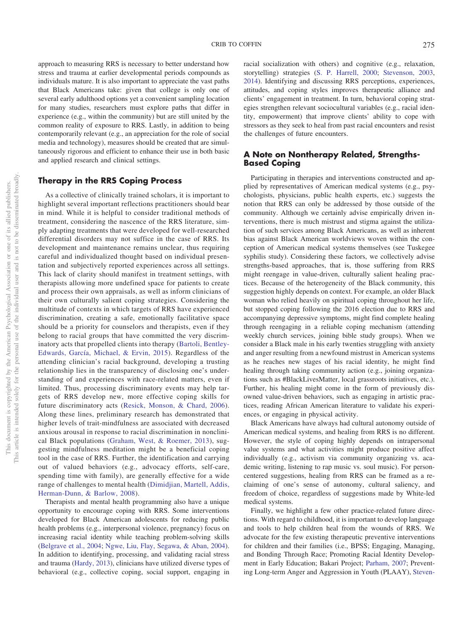approach to measuring RRS is necessary to better understand how stress and trauma at earlier developmental periods compounds as individuals mature. It is also important to appreciate the vast paths that Black Americans take: given that college is only one of several early adulthood options yet a convenient sampling location for many studies, researchers must explore paths that differ in experience (e.g., within the community) but are still united by the common reality of exposure to RRS. Lastly, in addition to being contemporarily relevant (e.g., an appreciation for the role of social media and technology), measures should be created that are simultaneously rigorous and efficient to enhance their use in both basic and applied research and clinical settings.

## **Therapy in the RRS Coping Process**

As a collective of clinically trained scholars, it is important to highlight several important reflections practitioners should bear in mind. While it is helpful to consider traditional methods of treatment, considering the nascence of the RRS literature, simply adapting treatments that were developed for well-researched differential disorders may not suffice in the case of RRS. Its development and maintenance remains unclear, thus requiring careful and individualized thought based on individual presentation and subjectively reported experiences across all settings. This lack of clarity should manifest in treatment settings, with therapists allowing more undefined space for patients to create and process their own appraisals, as well as inform clinicians of their own culturally salient coping strategies. Considering the multitude of contexts in which targets of RRS have experienced discrimination, creating a safe, emotionally facilitative space should be a priority for counselors and therapists, even if they belong to racial groups that have committed the very discriminatory acts that propelled clients into therapy [\(Bartoli, Bentley-](#page-10-19)[Edwards, García, Michael, & Ervin, 2015\)](#page-10-19). Regardless of the attending clinician's racial background, developing a trusting relationship lies in the transparency of disclosing one's understanding of and experiences with race-related matters, even if limited. Thus, processing discriminatory events may help targets of RRS develop new, more effective coping skills for future discriminatory acts [\(Resick, Monson, & Chard, 2006\)](#page-14-32). Along these lines, preliminary research has demonstrated that higher levels of trait-mindfulness are associated with decreased anxious arousal in response to racial discrimination in nonclinical Black populations [\(Graham, West, & Roemer, 2013\)](#page-12-31), suggesting mindfulness meditation might be a beneficial coping tool in the case of RRS. Further, the identification and carrying out of valued behaviors (e.g., advocacy efforts, self-care, spending time with family), are generally effective for a wide range of challenges to mental health [\(Dimidjian, Martell, Addis,](#page-11-29) [Herman-Dunn, & Barlow, 2008\)](#page-11-29).

Therapists and mental health programming also have a unique opportunity to encourage coping with RRS. Some interventions developed for Black American adolescents for reducing public health problems (e.g., interpersonal violence, pregnancy) focus on increasing racial identity while teaching problem-solving skills [\(Belgrave et al., 2004;](#page-10-20) [Ngwe, Liu, Flay, Segawa, & Aban, 2004\)](#page-13-32). In addition to identifying, processing, and validating racial stress and trauma [\(Hardy, 2013\)](#page-12-5), clinicians have utilized diverse types of behavioral (e.g., collective coping, social support, engaging in racial socialization with others) and cognitive (e.g., relaxation, storytelling) strategies [\(S. P. Harrell, 2000;](#page-12-0) [Stevenson, 2003,](#page-14-33) [2014\)](#page-14-4). Identifying and discussing RRS perceptions, experiences, attitudes, and coping styles improves therapeutic alliance and clients' engagement in treatment. In turn, behavioral coping strategies strengthen relevant sociocultural variables (e.g., racial identity, empowerment) that improve clients' ability to cope with stressors as they seek to heal from past racial encounters and resist the challenges of future encounters.

## **A Note on Nontherapy Related, Strengths-Based Coping**

Participating in therapies and interventions constructed and applied by representatives of American medical systems (e.g., psychologists, physicians, public health experts, etc.) suggests the notion that RRS can only be addressed by those outside of the community. Although we certainly advise empirically driven interventions, there is much mistrust and stigma against the utilization of such services among Black Americans, as well as inherent bias against Black American worldviews woven within the conception of American medical systems themselves (see Tuskegee syphilis study). Considering these factors, we collectively advise strengths-based approaches, that is, those suffering from RRS might reengage in value-driven, culturally salient healing practices. Because of the heterogeneity of the Black community, this suggestion highly depends on context. For example, an older Black woman who relied heavily on spiritual coping throughout her life, but stopped coping following the 2016 election due to RRS and accompanying depressive symptoms, might find complete healing through reengaging in a reliable coping mechanism (attending weekly church services, joining bible study groups). When we consider a Black male in his early twenties struggling with anxiety and anger resulting from a newfound mistrust in American systems as he reaches new stages of his racial identity, he might find healing through taking community action (e.g., joining organizations such as #BlackLivesMatter, local grassroots initiatives, etc.). Further, his healing might come in the form of previously disowned value-driven behaviors, such as engaging in artistic practices, reading African American literature to validate his experiences, or engaging in physical activity.

Black Americans have always had cultural autonomy outside of American medical systems, and healing from RRS is no different. However, the style of coping highly depends on intrapersonal value systems and what activities might produce positive affect individually (e.g., activism via community organizing vs. academic writing, listening to rap music vs. soul music). For personcentered suggestions, healing from RRS can be framed as a reclaiming of one's sense of autonomy, cultural saliency, and freedom of choice, regardless of suggestions made by White-led medical systems.

Finally, we highlight a few other practice-related future directions. With regard to childhood, it is important to develop language and tools to help children heal from the wounds of RRS. We advocate for the few existing therapeutic preventive interventions for children and their families (i.e., BPSS; Engaging, Managing, and Bonding Through Race; Promoting Racial Identity Development in Early Education; Bakari Project; [Parham, 2007;](#page-13-33) Preventing Long-term Anger and Aggression in Youth (PLAAY), [Steven-](#page-14-33)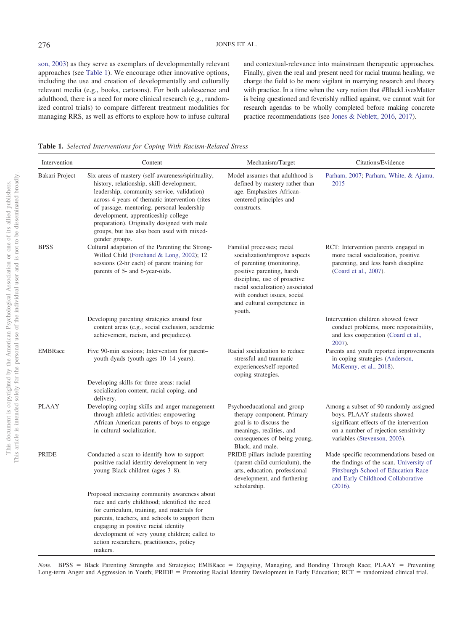[son, 2003\)](#page-14-33) as they serve as exemplars of developmentally relevant approaches (see [Table 1\)](#page-9-0). We encourage other innovative options, including the use and creation of developmentally and culturally relevant media (e.g., books, cartoons). For both adolescence and adulthood, there is a need for more clinical research (e.g., randomized control trials) to compare different treatment modalities for managing RRS, as well as efforts to explore how to infuse cultural

and contextual-relevance into mainstream therapeutic approaches. Finally, given the real and present need for racial trauma healing, we charge the field to be more vigilant in marrying research and theory with practice. In a time when the very notion that #BlackLivesMatter is being questioned and feverishly rallied against, we cannot wait for research agendas to be wholly completed before making concrete practice recommendations (see [Jones & Neblett, 2016,](#page-12-32) [2017\)](#page-12-33).

<span id="page-9-0"></span>**Table 1.** *Selected Interventions for Coping With Racism-Related Stress*

| Intervention   | Content                                                                                                                                                                                                                                                                                                                                                                                             | Mechanism/Target                                                                                                                                                                                                                                                 | Citations/Evidence                                                                                                                                                                       |
|----------------|-----------------------------------------------------------------------------------------------------------------------------------------------------------------------------------------------------------------------------------------------------------------------------------------------------------------------------------------------------------------------------------------------------|------------------------------------------------------------------------------------------------------------------------------------------------------------------------------------------------------------------------------------------------------------------|------------------------------------------------------------------------------------------------------------------------------------------------------------------------------------------|
| Bakari Project | Six areas of mastery (self-awareness/spirituality,<br>history, relationship, skill development,<br>leadership, community service, validation)<br>across 4 years of thematic intervention (rites<br>of passage, mentoring, personal leadership<br>development, apprenticeship college<br>preparation). Originally designed with male<br>groups, but has also been used with mixed-<br>gender groups. | Model assumes that adulthood is<br>defined by mastery rather than<br>age. Emphasizes African-<br>centered principles and<br>constructs.                                                                                                                          | Parham, 2007; Parham, White, & Ajamu,<br>2015                                                                                                                                            |
| <b>BPSS</b>    | Cultural adaptation of the Parenting the Strong-<br>Willed Child (Forehand & Long, 2002); 12<br>sessions (2-hr each) of parent training for<br>parents of 5- and 6-year-olds.                                                                                                                                                                                                                       | Familial processes; racial<br>socialization/improve aspects<br>of parenting (monitoring,<br>positive parenting, harsh<br>discipline, use of proactive<br>racial socialization) associated<br>with conduct issues, social<br>and cultural competence in<br>youth. | RCT: Intervention parents engaged in<br>more racial socialization, positive<br>parenting, and less harsh discipline<br>(Coard et al., 2007).                                             |
|                | Developing parenting strategies around four<br>content areas (e.g., social exclusion, academic<br>achievement, racism, and prejudices).                                                                                                                                                                                                                                                             |                                                                                                                                                                                                                                                                  | Intervention children showed fewer<br>conduct problems, more responsibility,<br>and less cooperation (Coard et al.,<br>2007).                                                            |
| <b>EMBRace</b> | Five 90-min sessions; Intervention for parent-<br>youth dyads (youth ages 10–14 years).                                                                                                                                                                                                                                                                                                             | Racial socialization to reduce<br>stressful and traumatic<br>experiences/self-reported<br>coping strategies.                                                                                                                                                     | Parents and youth reported improvements<br>in coping strategies (Anderson,<br>McKenny, et al., 2018).                                                                                    |
|                | Developing skills for three areas: racial<br>socialization content, racial coping, and<br>delivery.                                                                                                                                                                                                                                                                                                 |                                                                                                                                                                                                                                                                  |                                                                                                                                                                                          |
| <b>PLAAY</b>   | Developing coping skills and anger management<br>through athletic activities; empowering<br>African American parents of boys to engage<br>in cultural socialization.                                                                                                                                                                                                                                | Psychoeducational and group<br>therapy component. Primary<br>goal is to discuss the<br>meanings, realities, and<br>consequences of being young,<br>Black, and male.                                                                                              | Among a subset of 90 randomly assigned<br>boys, PLAAY students showed<br>significant effects of the intervention<br>on a number of rejection sensitivity<br>variables (Stevenson, 2003). |
| <b>PRIDE</b>   | Conducted a scan to identify how to support<br>positive racial identity development in very<br>young Black children (ages 3–8).                                                                                                                                                                                                                                                                     | PRIDE pillars include parenting<br>(parent-child curriculum), the<br>arts, education, professional<br>development, and furthering<br>scholarship.                                                                                                                | Made specific recommendations based on<br>the findings of the scan. University of<br>Pittsburgh School of Education Race<br>and Early Childhood Collaborative<br>(2016).                 |
|                | Proposed increasing community awareness about<br>race and early childhood; identified the need<br>for curriculum, training, and materials for<br>parents, teachers, and schools to support them<br>engaging in positive racial identity<br>development of very young children; called to<br>action researchers, practitioners, policy<br>makers.                                                    |                                                                                                                                                                                                                                                                  |                                                                                                                                                                                          |

Note. BPSS = Black Parenting Strengths and Strategies; EMBRace = Engaging, Managing, and Bonding Through Race; PLAAY = Preventing Long-term Anger and Aggression in Youth; PRIDE = Promoting Racial Identity Development in Early Education; RCT = randomized clinical trial.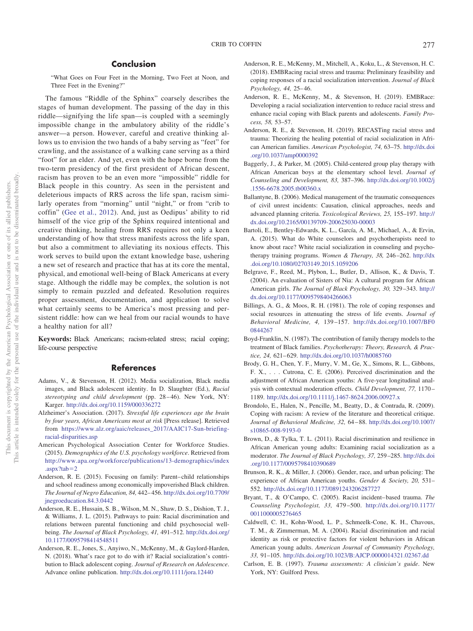## **Conclusion**

"What Goes on Four Feet in the Morning, Two Feet at Noon, and Three Feet in the Evening?"

The famous "Riddle of the Sphinx" coarsely describes the stages of human development. The passing of the day in this riddle—signifying the life span—is coupled with a seemingly impossible change in the ambulatory ability of the riddle's answer—a person. However, careful and creative thinking allows us to envision the two hands of a baby serving as "feet" for crawling, and the assistance of a walking cane serving as a third "foot" for an elder. And yet, even with the hope borne from the two-term presidency of the first president of African descent, racism has proven to be an even more "impossible" riddle for Black people in this country. As seen in the persistent and deleterious impacts of RRS across the life span, racism similarly operates from "morning" until "night," or from "crib to coffin" [\(Gee et al., 2012\)](#page-12-1). And, just as Oedipus' ability to rid himself of the vice grip of the Sphinx required intentional and creative thinking, healing from RRS requires not only a keen understanding of how that stress manifests across the life span, but also a commitment to alleviating its noxious effects. This work serves to build upon the extant knowledge base, ushering a new set of research and practice that has at its core the mental, physical, and emotional well-being of Black Americans at every stage. Although the riddle may be complex, the solution is not simply to remain puzzled and defeated. Resolution requires proper assessment, documentation, and application to solve what certainly seems to be America's most pressing and persistent riddle: how can we heal from our racial wounds to have a healthy nation for all?

**Keywords:** Black Americans; racism-related stress; racial coping; life-course perspective

#### **References**

- <span id="page-10-13"></span>Adams, V., & Stevenson, H. (2012). Media socialization, Black media images, and Black adolescent identity. In D. Slaughter (Ed.), *Racial stereotyping and child development* (pp. 28 – 46). New York, NY: Karger. <http://dx.doi.org/10.1159/000336272>
- <span id="page-10-0"></span>Alzheimer's Association. (2017). *Stressful life experiences age the brain by four years, African Americans most at risk* [Press release]. Retrieved from [https://www.alz.org/aaic/releases\\_2017/AAIC17-Sun-briefing](https://www.alz.org/aaic/releases_2017/AAIC17-Sun-briefing-racial-disparities.asp)[racial-disparities.asp](https://www.alz.org/aaic/releases_2017/AAIC17-Sun-briefing-racial-disparities.asp)
- <span id="page-10-14"></span>American Psychological Association Center for Workforce Studies. (2015). *Demographics of the U.S. psychology workforce*. Retrieved from [http://www.apa.org/workforce/publications/13-demographics/index](http://www.apa.org/workforce/publications/13-demographics/index.aspx?tab=2) [.aspx?tab](http://www.apa.org/workforce/publications/13-demographics/index.aspx?tab=2)-2
- <span id="page-10-5"></span>Anderson, R. E. (2015). Focusing on family: Parent– child relationships and school readiness among economically impoverished Black children. *The Journal of Negro Education, 84,* 442– 456. [http://dx.doi.org/10.7709/](http://dx.doi.org/10.7709/jnegroeducation.84.3.0442) [jnegroeducation.84.3.0442](http://dx.doi.org/10.7709/jnegroeducation.84.3.0442)
- <span id="page-10-6"></span>Anderson, R. E., Hussain, S. B., Wilson, M. N., Shaw, D. S., Dishion, T. J., & Williams, J. L. (2015). Pathways to pain: Racial discrimination and relations between parental functioning and child psychosocial wellbeing. *The Journal of Black Psychology, 41,* 491–512. [http://dx.doi.org/](http://dx.doi.org/10.1177/0095798414548511) [10.1177/0095798414548511](http://dx.doi.org/10.1177/0095798414548511)
- <span id="page-10-3"></span>Anderson, R. E., Jones, S., Anyiwo, N., McKenny, M., & Gaylord-Harden, N. (2018). What's race got to do with it? Racial socialization's contribution to Black adolescent coping. *Journal of Research on Adolescence*. Advance online publication. <http://dx.doi.org/10.1111/jora.12440>
- <span id="page-10-21"></span>Anderson, R. E., McKenny, M., Mitchell, A., Koku, L., & Stevenson, H. C. (2018). EMBRacing racial stress and trauma: Preliminary feasibility and coping responses of a racial socialization intervention. *Journal of Black Psychology, 44,* 25– 46.
- <span id="page-10-8"></span>Anderson, R. E., McKenny, M., & Stevenson, H. (2019). EMBRace: Developing a racial socialization intervention to reduce racial stress and enhance racial coping with Black parents and adolescents. *Family Process, 58,* 53–57.
- <span id="page-10-4"></span>Anderson, R. E., & Stevenson, H. (2019). RECASTing racial stress and trauma: Theorizing the healing potential of racial socialization in African American families. *American Psychologist, 74,* 63–75. [http://dx.doi](http://dx.doi.org/10.1037/amp0000392) [.org/10.1037/amp0000392](http://dx.doi.org/10.1037/amp0000392)
- <span id="page-10-9"></span>Baggerly, J., & Parker, M. (2005). Child-centered group play therapy with African American boys at the elementary school level. *Journal of Counseling and Development, 83,* 387–396. [http://dx.doi.org/10.1002/j](http://dx.doi.org/10.1002/j.1556-6678.2005.tb00360.x) [.1556-6678.2005.tb00360.x](http://dx.doi.org/10.1002/j.1556-6678.2005.tb00360.x)
- <span id="page-10-16"></span>Ballantyne, B. (2006). Medical management of the traumatic consequences of civil unrest incidents: Causation, clinical approaches, needs and advanced planning criteria. *Toxicological Reviews, 25,* 155–197. [http://](http://dx.doi.org/10.2165/00139709-200625030-00003) [dx.doi.org/10.2165/00139709-200625030-00003](http://dx.doi.org/10.2165/00139709-200625030-00003)
- <span id="page-10-19"></span>Bartoli, E., Bentley-Edwards, K. L., García, A. M., Michael, A., & Ervin, A. (2015). What do White counselors and psychotherapists need to know about race? White racial socialization in counseling and psychotherapy training programs. *Women & Therapy, 38,* 246 –262. [http://dx](http://dx.doi.org/10.1080/02703149.2015.1059206) [.doi.org/10.1080/02703149.2015.1059206](http://dx.doi.org/10.1080/02703149.2015.1059206)
- <span id="page-10-20"></span>Belgrave, F., Reed, M., Plybon, L., Butler, D., Allison, K., & Davis, T. (2004). An evaluation of Sisters of Nia: A cultural program for African American girls. *The Journal of Black Psychology, 30,* 329 –343. [http://](http://dx.doi.org/10.1177/0095798404266063) [dx.doi.org/10.1177/0095798404266063](http://dx.doi.org/10.1177/0095798404266063)
- <span id="page-10-2"></span>Billings, A. G., & Moos, R. H. (1981). The role of coping responses and social resources in attenuating the stress of life events. *Journal of Behavioral Medicine, 4,* 139 –157. [http://dx.doi.org/10.1007/BF0](http://dx.doi.org/10.1007/BF00844267) [0844267](http://dx.doi.org/10.1007/BF00844267)
- <span id="page-10-7"></span>Boyd-Franklin, N. (1987). The contribution of family therapy models to the treatment of Black families. *Psychotherapy: Theory, Research, & Practice, 24,* 621– 629. <http://dx.doi.org/10.1037/h0085760>
- <span id="page-10-12"></span>Brody, G. H., Chen, Y. F., Murry, V. M., Ge, X., Simons, R. L., Gibbons, F. X., . . . Cutrona, C. E. (2006). Perceived discrimination and the adjustment of African American youths: A five-year longitudinal analysis with contextual moderation effects. *Child Development, 77,* 1170 – 1189. <http://dx.doi.org/10.1111/j.1467-8624.2006.00927.x>
- <span id="page-10-15"></span>Brondolo, E., Halen, N., Pencille, M., Beatty, D., & Contrada, R. (2009). Coping with racism: A review of the literature and theoretical critique. *Journal of Behavioral Medicine, 32,* 64 – 88. [http://dx.doi.org/10.1007/](http://dx.doi.org/10.1007/s10865-008-9193-0) [s10865-008-9193-0](http://dx.doi.org/10.1007/s10865-008-9193-0)
- <span id="page-10-1"></span>Brown, D., & Tylka, T. L. (2011). Racial discrimination and resilience in African American young adults: Examining racial socialization as a moderator. *The Journal of Black Psychology, 37,* 259 –285. [http://dx.doi](http://dx.doi.org/10.1177/0095798410390689) [.org/10.1177/0095798410390689](http://dx.doi.org/10.1177/0095798410390689)
- <span id="page-10-10"></span>Brunson, R. K., & Miller, J. (2006). Gender, race, and urban policing: The experience of African American youths. *Gender & Society, 20,* 531– 552. <http://dx.doi.org/10.1177/0891243206287727>
- <span id="page-10-18"></span>Bryant, T., & O'Campo, C. (2005). Racist incident– based trauma. *The Counseling Psychologist, 33,* 479 –500. [http://dx.doi.org/10.1177/](http://dx.doi.org/10.1177/0011000005276465) [0011000005276465](http://dx.doi.org/10.1177/0011000005276465)
- <span id="page-10-11"></span>Caldwell, C. H., Kohn-Wood, L. P., Schmeelk-Cone, K. H., Chavous, T. M., & Zimmerman, M. A. (2004). Racial discrimination and racial identity as risk or protective factors for violent behaviors in African American young adults. *American Journal of Community Psychology, 33,* 91–105. <http://dx.doi.org/10.1023/B:AJCP.0000014321.02367.dd>
- <span id="page-10-17"></span>Carlson, E. B. (1997). *Trauma assessments: A clinician's guide*. New York, NY: Guilford Press.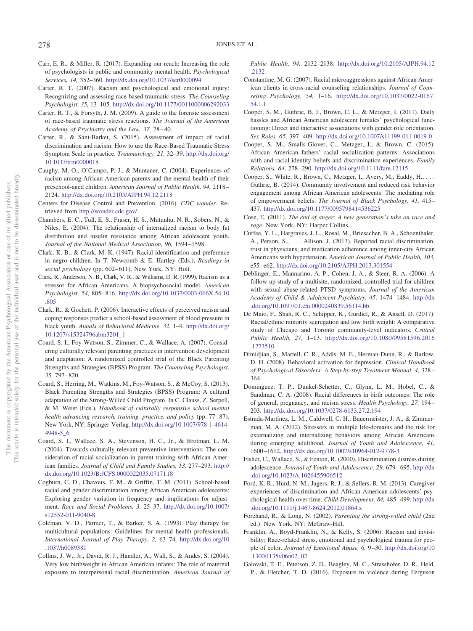- <span id="page-11-10"></span>Carr, E. R., & Miller, R. (2017). Expanding our reach: Increasing the role of psychologists in public and community mental health. *Psychological Services, 14,* 352–360. <http://dx.doi.org/10.1037/ser0000094>
- <span id="page-11-26"></span>Carter, R. T. (2007). Racism and psychological and emotional injury: Recognizing and assessing race-based traumatic stress. *The Counseling Psychologist, 35,* 13–105. <http://dx.doi.org/10.1177/0011000006292033>
- <span id="page-11-27"></span>Carter, R. T., & Forsyth, J. M. (2009). A guide to the forensic assessment of race-based traumatic stress reactions. *The Journal of the American Academy of Psychiatry and the Law, 37,* 28 – 40.
- <span id="page-11-28"></span>Carter, R., & Sant-Barket, S. (2015). Assessment of impact of racial discrimination and racism: How to use the Race-Based Traumatic Stress Symptom Scale in practice. *Traumatology, 21,* 32–39. [http://dx.doi.org/](http://dx.doi.org/10.1037/trm0000018) [10.1037/trm0000018](http://dx.doi.org/10.1037/trm0000018)
- <span id="page-11-6"></span>Caughy, M. O., O'Campo, P. J., & Muntaner, C. (2004). Experiences of racism among African American parents and the mental health of their preschool-aged children. *American Journal of Public Health, 94,* 2118 – 2124. <http://dx.doi.org/10.2105/AJPH.94.12.2118>
- <span id="page-11-21"></span>Centers for Disease Control and Prevention. (2016). *CDC wonder*. Retrieved from <http://wonder.cdc.gov/>
- <span id="page-11-15"></span>Chambers, E. C., Tull, E. S., Fraser, H. S., Mutunhu, N. R., Sobers, N., & Niles, E. (2004). The relationship of internalized racism to body fat distribution and insulin resistance among African adolescent youth. *Journal of the National Medical Association, 96,* 1594 –1598.
- <span id="page-11-3"></span>Clark, K. B., & Clark, M. K. (1947). Racial identification and preference in negro children. In T. Newcomb & E. Hartley (Eds.), *Readings in* social psychology (pp. 602-611). New York, NY: Holt.
- <span id="page-11-0"></span>Clark, R., Anderson, N. B., Clark, V. R., & Williams, D. R. (1999). Racism as a stressor for African Americans. A biopsychosocial model. *American Psychologist, 54,* 805– 816. [http://dx.doi.org/10.1037/0003-066X.54.10](http://dx.doi.org/10.1037/0003-066X.54.10.805) [.805](http://dx.doi.org/10.1037/0003-066X.54.10.805)
- <span id="page-11-16"></span>Clark, R., & Gochett, P. (2006). Interactive effects of perceived racism and coping responses predict a school-based assessment of blood pressure in black youth. *Annals of Behavioral Medicine, 32,* 1–9. [http://dx.doi.org/](http://dx.doi.org/10.1207/s15324796abm3201_1) [10.1207/s15324796abm3201\\_1](http://dx.doi.org/10.1207/s15324796abm3201_1)
- <span id="page-11-31"></span>Coard, S. I., Foy-Watson, S., Zimmer, C., & Wallace, A. (2007). Considering culturally relevant parenting practices in intervention development and adaptation: A randomized controlled trial of the Black Parenting Strengths and Strategies (BPSS) Program. *The Counseling Psychologist, 35,* 797– 820.
- <span id="page-11-9"></span>Coard, S., Herring, M., Watkins, M., Foy-Watson, S., & McCoy, S. (2013). Black Parenting Strengths and Strategies (BPSS) Program: A cultural adaptation of the Strong-Willed Child Program. In C. Clauss, Z. Serpell, & M. Weist (Eds.), *Handbook of culturally responsive school mental health advancing research, training, practice, and policy* (pp. 77-87). New York, NY: Springer-Verlag. [http://dx.doi.org/10.1007/978-1-4614-](http://dx.doi.org/10.1007/978-1-4614-4948-5_6) [4948-5\\_6](http://dx.doi.org/10.1007/978-1-4614-4948-5_6)
- <span id="page-11-18"></span>Coard, S. I., Wallace, S. A., Stevenson, H. C., Jr., & Brotman, L. M. (2004). Towards culturally relevant preventive interventions: The consideration of racial socialization in parent training with African American families. *Journal of Child and Family Studies, 13,* 277–293. [http://](http://dx.doi.org/10.1023/B:JCFS.0000022035.07171.f8) [dx.doi.org/10.1023/B:JCFS.0000022035.07171.f8](http://dx.doi.org/10.1023/B:JCFS.0000022035.07171.f8)
- <span id="page-11-13"></span>Cogburn, C. D., Chavous, T. M., & Griffin, T. M. (2011). School-based racial and gender discrimination among African American adolescents: Exploring gender variation in frequency and implications for adjustment. *Race and Social Problems, 3,* 25–37. [http://dx.doi.org/10.1007/](http://dx.doi.org/10.1007/s12552-011-9040-8) [s12552-011-9040-8](http://dx.doi.org/10.1007/s12552-011-9040-8)
- <span id="page-11-11"></span>Coleman, V. D., Parmer, T., & Barker, S. A. (1993). Play therapy for multicultural populations: Guidelines for mental health professionals. *International Journal of Play Therapy, 2,* 63–74. [http://dx.doi.org/10](http://dx.doi.org/10.1037/h0089381) [.1037/h0089381](http://dx.doi.org/10.1037/h0089381)
- <span id="page-11-5"></span>Collins, J. W., Jr., David, R. J., Handler, A., Wall, S., & Andes, S. (2004). Very low birthweight in African American infants: The role of maternal exposure to interpersonal racial discrimination. *American Journal of*

*Public Health, 94,* 2132–2138. [http://dx.doi.org/10.2105/AJPH.94.12](http://dx.doi.org/10.2105/AJPH.94.12.2132) [.2132](http://dx.doi.org/10.2105/AJPH.94.12.2132)

- <span id="page-11-24"></span>Constantine, M. G. (2007). Racial microaggressions against African American clients in cross-racial counseling relationships. *Journal of Counseling Psychology, 54,* 1–16. [http://dx.doi.org/10.1037/0022-0167.](http://dx.doi.org/10.1037/0022-0167.54.1.1) [54.1.1](http://dx.doi.org/10.1037/0022-0167.54.1.1)
- <span id="page-11-12"></span>Cooper, S. M., Guthrie, B. J., Brown, C. L., & Metzger, I. (2011). Daily hassles and African American adolescent females' psychological functioning: Direct and interactive associations with gender role orientation. *Sex Roles, 65,* 397– 409. <http://dx.doi.org/10.1007/s11199-011-0019-0>
- <span id="page-11-17"></span>Cooper, S. M., Smalls-Glover, C., Metzger, I., & Brown, C. (2015). African American fathers' racial socialization patterns: Associations with and racial identity beliefs and discrimination experiences. *Family Relations, 64,* 278 –290. <http://dx.doi.org/10.1111/fare.12115>
- <span id="page-11-19"></span>Cooper, S., White, R., Brown, C., Metzger, I., Avery, M., Eaddy, H., ... Guthrie, B. (2014). Community involvement and reduced risk behavior engagement among African American adolescents: The mediating role of empowerment beliefs. *The Journal of Black Psychology, 41,* 415– 437. <http://dx.doi.org/10.1177/0095798414536225>
- <span id="page-11-22"></span>Cose, E. (2011). *The end of anger: A new generation's take on race and rage*. New York, NY: Harper Collins.
- <span id="page-11-23"></span>Cuffee, Y. L., Hargraves, J. L., Rosal, M., Briesacher, B. A., Schoenthaler, A., Person, S.,... Allison, J. (2013). Reported racial discrimination, trust in physicians, and medication adherence among inner-city African Americans with hypertension. *American Journal of Public Health, 103,* e55– e62. <http://dx.doi.org/10.2105/AJPH.2013.301554>
- <span id="page-11-2"></span>Deblinger, E., Mannarino, A. P., Cohen, J. A., & Steer, R. A. (2006). A follow-up study of a multisite, randomized, controlled trial for children with sexual abuse-related PTSD symptoms. *Journal of the American Academy of Child & Adolescent Psychiatry, 45,* 1474 –1484. [http://dx](http://dx.doi.org/10.1097/01.chi.0000240839.56114.bb) [.doi.org/10.1097/01.chi.0000240839.56114.bb](http://dx.doi.org/10.1097/01.chi.0000240839.56114.bb)
- <span id="page-11-1"></span>De Maio, F., Shah, R. C., Schipper, K., Gurdiel, R., & Ansell, D. (2017). Racial/ethnic minority segregation and low birth weight: A comparative study of Chicago and Toronto community-level indicators. *Critical Public Health, 27,* 1–13. [http://dx.doi.org/10.1080/09581596.2016](http://dx.doi.org/10.1080/09581596.2016.1273510) [.1273510](http://dx.doi.org/10.1080/09581596.2016.1273510)
- <span id="page-11-29"></span>Dimidjian, S., Martell, C. R., Addis, M. E., Herman-Dunn, R., & Barlow, D. H. (2008). Behavioral activation for depression. *Clinical Handbook of Psychological Disorders: A Step-by-step Treatment Manual, 4,* 328 – 364.
- <span id="page-11-7"></span>Dominguez, T. P., Dunkel-Schetter, C., Glynn, L. M., Hobel, C., & Sandman, C. A. (2008). Racial differences in birth outcomes: The role of general, pregnancy, and racism stress. *Health Psychology, 27,* 194 – 203. <http://dx.doi.org/10.1037/0278-6133.27.2.194>
- <span id="page-11-20"></span>Estrada-Martínez, L. M., Caldwell, C. H., Bauermeister, J. A., & Zimmerman, M. A. (2012). Stressors in multiple life-domains and the risk for externalizing and internalizing behaviors among African Americans during emerging adulthood. *Journal of Youth and Adolescence, 41,* 1600 –1612. <http://dx.doi.org/10.1007/s10964-012-9778-3>
- <span id="page-11-14"></span>Fisher, C., Wallace, S., & Fenton, R. (2000). Discrimination distress during adolescence. *Journal of Youth and Adolescence, 29,* 679 – 695. [http://dx](http://dx.doi.org/10.1023/A:1026455906512) [.doi.org/10.1023/A:1026455906512](http://dx.doi.org/10.1023/A:1026455906512)
- <span id="page-11-8"></span>Ford, K. R., Hurd, N. M., Jagers, R. J., & Sellers, R. M. (2013). Caregiver experiences of discrimination and African American adolescents' psychological health over time. *Child Development*, 84, 485-499. [http://dx](http://dx.doi.org/10.1111/j.1467-8624.2012.01864.x) [.doi.org/10.1111/j.1467-8624.2012.01864.x](http://dx.doi.org/10.1111/j.1467-8624.2012.01864.x)
- <span id="page-11-30"></span>Forehand, R., & Long, N. (2002). *Parenting the strong-willed child* (2nd ed.). New York, NY: McGraw-Hill.
- <span id="page-11-4"></span>Franklin, A., Boyd-Franklin, N., & Kelly, S. (2006). Racism and invisibility: Race-related stress, emotional and psychological trauma for people of color. *Journal of Emotional Abuse, 6,* 9 –30. [http://dx.doi.org/10](http://dx.doi.org/10.1300/J135v06n02_02) [.1300/J135v06n02\\_02](http://dx.doi.org/10.1300/J135v06n02_02)
- <span id="page-11-25"></span>Galovski, T. E., Peterson, Z. D., Beagley, M. C., Strasshofer, D. R., Held, P., & Fletcher, T. D. (2016). Exposure to violence during Ferguson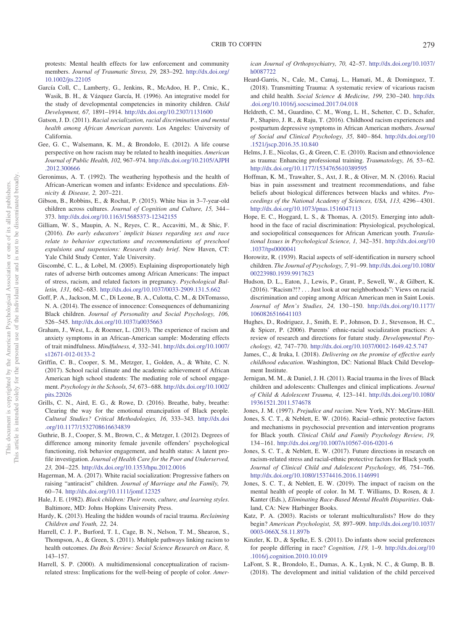protests: Mental health effects for law enforcement and community members. *Journal of Traumatic Stress, 29,* 283–292. [http://dx.doi.org/](http://dx.doi.org/10.1002/jts.22105) [10.1002/jts.22105](http://dx.doi.org/10.1002/jts.22105)

- <span id="page-12-6"></span>García Coll, C., Lamberty, G., Jenkins, R., McAdoo, H. P., Crnic, K., Wasik, B. H., & Vázquez García, H. (1996). An integrative model for the study of developmental competencies in minority children. *Child Development, 67,* 1891–1914. <http://dx.doi.org/10.2307/1131600>
- <span id="page-12-22"></span>Gatson, J. D. (2011). *Racial socialization, racial discrimination and mental health among African American parents*. Los Angeles: University of California.
- <span id="page-12-1"></span>Gee, G. C., Walsemann, K. M., & Brondolo, E. (2012). A life course perspective on how racism may be related to health inequities. *American Journal of Public Health, 102,* 967–974. [http://dx.doi.org/10.2105/AJPH](http://dx.doi.org/10.2105/AJPH.2012.300666) [.2012.300666](http://dx.doi.org/10.2105/AJPH.2012.300666)
- <span id="page-12-17"></span>Geronimus, A. T. (1992). The weathering hypothesis and the health of African-American women and infants: Evidence and speculations. *Ethnicity & Disease, 2,* 207–221.
- <span id="page-12-8"></span>Gibson, B., Robbins, E., & Rochat, P. (2015). White bias in 3–7-year-old children across cultures. *Journal of Cognition and Culture, 15,* 344 – 373. <http://dx.doi.org/10.1163/15685373-12342155>
- <span id="page-12-13"></span>Gilliam, W. S., Maupin, A. N., Reyes, C. R., Accavitti, M., & Shic, F. (2016). *Do early educators' implicit biases regarding sex and race relate to behavior expectations and recommendations of preschool expulsions and suspensions: Research study brief*. New Haven, CT: Yale Child Study Center, Yale University.
- <span id="page-12-18"></span>Giscombé, C. L., & Lobel, M. (2005). Explaining disproportionately high rates of adverse birth outcomes among African Americans: The impact of stress, racism, and related factors in pregnancy. *Psychological Bulletin, 131,* 662– 683. <http://dx.doi.org/10.1037/0033-2909.131.5.662>
- <span id="page-12-14"></span>Goff, P. A., Jackson, M. C., Di Leone, B. A., Culotta, C. M., & DiTomasso, N. A. (2014). The essence of innocence: Consequences of dehumanizing Black children. *Journal of Personality and Social Psychology, 106,* 526 –545. <http://dx.doi.org/10.1037/a0035663>
- <span id="page-12-31"></span>Graham, J., West, L., & Roemer, L. (2013). The experience of racism and anxiety symptoms in an African-American sample: Moderating effects of trait mindfulness. *Mindfulness, 4,* 332–341. [http://dx.doi.org/10.1007/](http://dx.doi.org/10.1007/s12671-012-0133-2) [s12671-012-0133-2](http://dx.doi.org/10.1007/s12671-012-0133-2)
- <span id="page-12-24"></span>Griffin, C. B., Cooper, S. M., Metzger, I., Golden, A., & White, C. N. (2017). School racial climate and the academic achievement of African American high school students: The mediating role of school engagement. *Psychology in the Schools, 54,* 673– 688. [http://dx.doi.org/10.1002/](http://dx.doi.org/10.1002/pits.22026) [pits.22026](http://dx.doi.org/10.1002/pits.22026)
- <span id="page-12-29"></span>Grills, C. N., Aird, E. G., & Rowe, D. (2016). Breathe, baby, breathe: Clearing the way for the emotional emancipation of Black people. *Cultural Studies? Critical Methodologies, 16,* 333–343. [http://dx.doi](http://dx.doi.org/10.1177/1532708616634839) [.org/10.1177/1532708616634839](http://dx.doi.org/10.1177/1532708616634839)
- <span id="page-12-25"></span>Guthrie, B. J., Cooper, S. M., Brown, C., & Metzger, I. (2012). Degrees of difference among minority female juvenile offenders' psychological functioning, risk behavior engagement, and health status: A latent profile investigation. *Journal of Health Care for the Poor and Underserved, 23,* 204 –225. <http://dx.doi.org/10.1353/hpu.2012.0016>
- <span id="page-12-23"></span>Hagerman, M. A. (2017). White racial socialization: Progressive fathers on raising "antiracist" children. *Journal of Marriage and the Family, 79,* 60 –74. <http://dx.doi.org/10.1111/jomf.12325>
- <span id="page-12-7"></span>Hale, J. E. (1982). *Black children: Their roots, culture, and learning styles*. Baltimore, MD: Johns Hopkins University Press.
- <span id="page-12-5"></span>Hardy, K. (2013). Healing the hidden wounds of racial trauma. *Reclaiming Children and Youth, 22,* 24.
- <span id="page-12-30"></span>Harrell, C. J. P., Burford, T. I., Cage, B. N., Nelson, T. M., Shearon, S., Thompson, A., & Green, S. (2011). Multiple pathways linking racism to health outcomes. *Du Bois Review: Social Science Research on Race, 8,* 143–157.
- <span id="page-12-0"></span>Harrell, S. P. (2000). A multidimensional conceptualization of racismrelated stress: Implications for the well-being of people of color. *Amer-*

*ican Journal of Orthopsychiatry, 70,* 42–57. [http://dx.doi.org/10.1037/](http://dx.doi.org/10.1037/h0087722) [h0087722](http://dx.doi.org/10.1037/h0087722)

- <span id="page-12-19"></span>Heard-Garris, N., Cale, M., Camaj, L., Hamati, M., & Dominguez, T. (2018). Transmitting Trauma: A systematic review of vicarious racism and child health. *Social Science & Medicine, 199,* 230 –240. [http://dx](http://dx.doi.org/10.1016/j.socscimed.2017.04.018) [.doi.org/10.1016/j.socscimed.2017.04.018](http://dx.doi.org/10.1016/j.socscimed.2017.04.018)
- <span id="page-12-27"></span>Heldreth, C. M., Guardino, C. M., Wong, L. H., Schetter, C. D., Schafer, P., Shapiro, J. R., & Raju, T. (2016). Childhood racism experiences and postpartum depressive symptoms in African American mothers. *Journal of Social and Clinical Psychology, 35,* 840 – 864. [http://dx.doi.org/10](http://dx.doi.org/10.1521/jscp.2016.35.10.840) [.1521/jscp.2016.35.10.840](http://dx.doi.org/10.1521/jscp.2016.35.10.840)
- <span id="page-12-21"></span>Helms, J. E., Nicolas, G., & Green, C. E. (2010). Racism and ethnoviolence as trauma: Enhancing professional training. *Traumatology, 16, 53-62*. <http://dx.doi.org/10.1177/1534765610389595>
- <span id="page-12-28"></span>Hoffman, K. M., Trawalter, S., Axt, J. R., & Oliver, M. N. (2016). Racial bias in pain assessment and treatment recommendations, and false beliefs about biological differences between blacks and whites. *Proceedings of the National Academy of Sciences, USA, 113,* 4296 – 4301. <http://dx.doi.org/10.1073/pnas.1516047113>
- <span id="page-12-4"></span>Hope, E. C., Hoggard, L. S., & Thomas, A. (2015). Emerging into adulthood in the face of racial discrimination: Physiological, psychological, and sociopolitical consequences for African American youth. *Translational Issues in Psychological Science, 1,* 342–351. [http://dx.doi.org/10](http://dx.doi.org/10.1037/tps0000041) [.1037/tps0000041](http://dx.doi.org/10.1037/tps0000041)
- <span id="page-12-9"></span>Horowitz, R. (1939). Racial aspects of self-identification in nursery school children. *The Journal of Psychology, 7,* 91–99. [http://dx.doi.org/10.1080/](http://dx.doi.org/10.1080/00223980.1939.9917623) [00223980.1939.9917623](http://dx.doi.org/10.1080/00223980.1939.9917623)
- <span id="page-12-26"></span>Hudson, D. L., Eaton, J., Lewis, P., Grant, P., Sewell, W., & Gilbert, K. (2016). "Racism?!?... Just look at our neighborhoods": Views on racial discrimination and coping among African American men in Saint Louis. *Journal of Men's Studies, 24,* 130 –150. [http://dx.doi.org/10.1177/](http://dx.doi.org/10.1177/1060826516641103) [1060826516641103](http://dx.doi.org/10.1177/1060826516641103)
- <span id="page-12-20"></span>Hughes, D., Rodriguez, J., Smith, E. P., Johnson, D. J., Stevenson, H. C., & Spicer, P. (2006). Parents' ethnic-racial socialization practices: A review of research and directions for future study. *Developmental Psychology, 42,* 747–770. <http://dx.doi.org/10.1037/0012-1649.42.5.747>
- <span id="page-12-12"></span>James, C., & Iruka, I. (2018). *Delivering on the promise of effective early childhood education*. Washington, DC: National Black Child Development Institute.
- <span id="page-12-11"></span>Jernigan, M. M., & Daniel, J. H. (2011). Racial trauma in the lives of Black children and adolescents: Challenges and clinical implications. *Journal of Child & Adolescent Trauma, 4,* 123–141. [http://dx.doi.org/10.1080/](http://dx.doi.org/10.1080/19361521.2011.574678) [19361521.2011.574678](http://dx.doi.org/10.1080/19361521.2011.574678)

<span id="page-12-32"></span><span id="page-12-3"></span>Jones, J. M. (1997). *Prejudice and racism*. New York, NY: McGraw-Hill.

- Jones, S. C. T., & Neblett, E. W. (2016). Racial– ethnic protective factors and mechanisms in psychosocial prevention and intervention programs for Black youth. *Clinical Child and Family Psychology Review, 19,* 134 –161. <http://dx.doi.org/10.1007/s10567-016-0201-6>
- <span id="page-12-33"></span>Jones, S. C. T., & Neblett, E. W. (2017). Future directions in research on racism-related stress and racial-ethnic protective factors for Black youth. *Journal of Clinical Child and Adolescent Psychology, 46,* 754 –766. <http://dx.doi.org/10.1080/15374416.2016.1146991>
- <span id="page-12-2"></span>Jones, S. C. T., & Neblett, E. W. (2019). The impact of racism on the mental health of people of color. In M. T. Williams, D. Rosen, & J. Kanter (Eds.), *Eliminating Race-Based Mental Health Disparities*. Oakland, CA: New Harbinger Books.
- <span id="page-12-10"></span>Katz, P. A. (2003). Racists or tolerant multiculturalists? How do they begin? *American Psychologist, 58,* 897–909. [http://dx.doi.org/10.1037/](http://dx.doi.org/10.1037/0003-066X.58.11.897b) [0003-066X.58.11.897b](http://dx.doi.org/10.1037/0003-066X.58.11.897b)
- <span id="page-12-15"></span>Kinzler, K. D., & Spelke, E. S. (2011). Do infants show social preferences for people differing in race? *Cognition, 119,* 1–9. [http://dx.doi.org/10](http://dx.doi.org/10.1016/j.cognition.2010.10.019) [.1016/j.cognition.2010.10.019](http://dx.doi.org/10.1016/j.cognition.2010.10.019)
- <span id="page-12-16"></span>LaFont, S. R., Brondolo, E., Dumas, A. K., Lynk, N. C., & Gump, B. B. (2018). The development and initial validation of the child perceived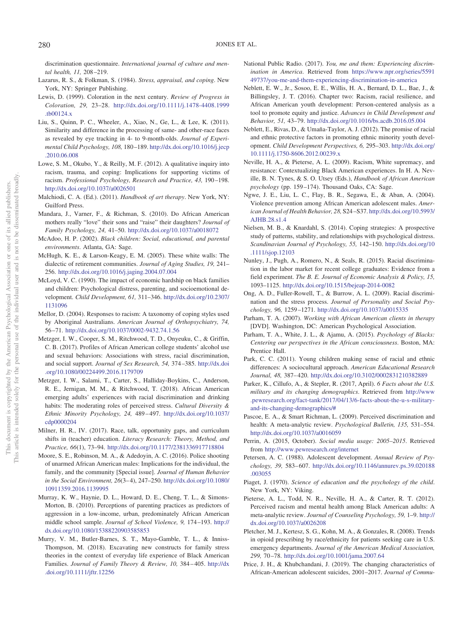discrimination questionnaire. *International journal of culture and mental health, 11,* 208 –219.

- <span id="page-13-6"></span>Lazarus, R. S., & Folkman, S. (1984). *Stress, appraisal, and coping*. New York, NY: Springer Publishing.
- <span id="page-13-18"></span>Lewis, D. (1999). Coloration in the next century. *Review of Progress in Coloration, 29,* 23–28. [http://dx.doi.org/10.1111/j.1478-4408.1999](http://dx.doi.org/10.1111/j.1478-4408.1999.tb00124.x) [.tb00124.x](http://dx.doi.org/10.1111/j.1478-4408.1999.tb00124.x)
- <span id="page-13-12"></span>Liu, S., Quinn, P. C., Wheeler, A., Xiao, N., Ge, L., & Lee, K. (2011). Similarity and difference in the processing of same- and other-race faces as revealed by eye tracking in 4- to 9-month-olds. *Journal of Experimental Child Psychology, 108,* 180 –189. [http://dx.doi.org/10.1016/j.jecp](http://dx.doi.org/10.1016/j.jecp.2010.06.008) [.2010.06.008](http://dx.doi.org/10.1016/j.jecp.2010.06.008)
- <span id="page-13-31"></span>Lowe, S. M., Okubo, Y., & Reilly, M. F. (2012). A qualitative inquiry into racism, trauma, and coping: Implications for supporting victims of racism. *Professional Psychology, Research and Practice, 43,* 190 –198. <http://dx.doi.org/10.1037/a0026501>
- <span id="page-13-19"></span>Malchiodi, C. A. (Ed.). (2011). *Handbook of art therapy*. New York, NY: Guilford Press.
- <span id="page-13-14"></span>Mandara, J., Varner, F., & Richman, S. (2010). Do African American mothers really "love" their sons and "raise" their daughters? *Journal of Family Psychology, 24,* 41–50. <http://dx.doi.org/10.1037/a0018072>
- <span id="page-13-11"></span>McAdoo, H. P. (2002). *Black children: Social, educational, and parental environments*. Atlanta, GA: Sage.
- <span id="page-13-25"></span>McHugh, K. E., & Larson-Keagy, E. M. (2005). These white walls: The dialectic of retirement communities. *Journal of Aging Studies, 19,* 241– 256. <http://dx.doi.org/10.1016/j.jaging.2004.07.004>
- <span id="page-13-10"></span>McLoyd, V. C. (1990). The impact of economic hardship on black families and children: Psychological distress, parenting, and socioemotional development. *Child Development, 61,* 311–346. [http://dx.doi.org/10.2307/](http://dx.doi.org/10.2307/1131096) [1131096](http://dx.doi.org/10.2307/1131096)
- <span id="page-13-28"></span>Mellor, D. (2004). Responses to racism: A taxonomy of coping styles used by Aboriginal Australians. *American Journal of Orthopsychiatry, 74,* 56 –71. <http://dx.doi.org/10.1037/0002-9432.74.1.56>
- <span id="page-13-23"></span>Metzger, I. W., Cooper, S. M., Ritchwood, T. D., Onyeuku, C., & Griffin, C. B. (2017). Profiles of African American college students' alcohol use and sexual behaviors: Associations with stress, racial discrimination, and social support. *Journal of Sex Research, 54,* 374 –385. [http://dx.doi](http://dx.doi.org/10.1080/00224499.2016.1179709) [.org/10.1080/00224499.2016.1179709](http://dx.doi.org/10.1080/00224499.2016.1179709)
- <span id="page-13-29"></span>Metzger, I. W., Salami, T., Carter, S., Halliday-Boykins, C., Anderson, R. E., Jernigan, M. M., & Ritchwood, T. (2018). African American emerging adults' experiences with racial discrimination and drinking habits: The moderating roles of perceived stress. *Cultural Diversity & Ethnic Minority Psychology, 24,* 489 – 497. [http://dx.doi.org/10.1037/](http://dx.doi.org/10.1037/cdp0000204) [cdp0000204](http://dx.doi.org/10.1037/cdp0000204)
- <span id="page-13-16"></span>Milner, H. R., IV. (2017). Race, talk, opportunity gaps, and curriculum shifts in (teacher) education. *Literacy Research: Theory, Method, and Practice, 66*(1), 73–94. <http://dx.doi.org/10.1177/2381336917718804>
- <span id="page-13-22"></span>Moore, S. E., Robinson, M. A., & Adedoyin, A. C. (2016). Police shooting of unarmed African American males: Implications for the individual, the family, and the community [Special issue]. *Journal of Human Behavior in the Social Environment, 26*(3– 4), 247–250. [http://dx.doi.org/10.1080/](http://dx.doi.org/10.1080/10911359.2016.1139995) [10911359.2016.1139995](http://dx.doi.org/10.1080/10911359.2016.1139995)
- <span id="page-13-15"></span>Murray, K. W., Haynie, D. L., Howard, D. E., Cheng, T. L., & Simons-Morton, B. (2010). Perceptions of parenting practices as predictors of aggression in a low-income, urban, predominately African American middle school sample. *Journal of School Violence, 9,* 174 –193. [http://](http://dx.doi.org/10.1080/15388220903585853) [dx.doi.org/10.1080/15388220903585853](http://dx.doi.org/10.1080/15388220903585853)
- <span id="page-13-7"></span>Murry, V. M., Butler-Barnes, S. T., Mayo-Gamble, T. L., & Inniss-Thompson, M. (2018). Excavating new constructs for family stress theories in the context of everyday life experience of Black American Families. *Journal of Family Theory & Review, 10,* 384 – 405. [http://dx](http://dx.doi.org/10.1111/jftr.12256) [.doi.org/10.1111/jftr.12256](http://dx.doi.org/10.1111/jftr.12256)
- <span id="page-13-0"></span>National Public Radio. (2017). *You, me and them: Experiencing discrimination in America*. Retrieved from [https://www.npr.org/series/5591](https://www.npr.org/series/559149737/you-me-and-them-experiencing-discrimination-in-america) [49737/you-me-and-them-experiencing-discrimination-in-america](https://www.npr.org/series/559149737/you-me-and-them-experiencing-discrimination-in-america)
- <span id="page-13-5"></span>Neblett, E. W., Jr., Sosoo, E. E., Willis, H. A., Bernard, D. L., Bae, J., & Billingsley, J. T. (2016). Chapter two: Racism, racial resilience, and African American youth development: Person-centered analysis as a tool to promote equity and justice. *Advances in Child Development and Behavior, 51,* 43–79. <http://dx.doi.org/10.1016/bs.acdb.2016.05.004>
- <span id="page-13-17"></span>Neblett, E., Rivas, D., & Umaña-Taylor, A. J. (2012). The promise of racial and ethnic protective factors in promoting ethnic minority youth development. *Child Development Perspectives, 6,* 295–303. [http://dx.doi.org/](http://dx.doi.org/10.1111/j.1750-8606.2012.00239.x) [10.1111/j.1750-8606.2012.00239.x](http://dx.doi.org/10.1111/j.1750-8606.2012.00239.x)
- <span id="page-13-30"></span>Neville, H. A., & Pieterse, A. L. (2009). Racism, White supremacy, and resistance: Contextualizing Black American experiences. In H. A. Neville, B. N. Tynes, & S. O. Utsey (Eds.), *Handbook of African American psychology* (pp. 159 –174). Thousand Oaks, CA: Sage.
- <span id="page-13-32"></span>Ngwe, J. E., Liu, L. C., Flay, B. R., Segawa, E., & Aban, A. (2004). Violence prevention among African American adolescent males. *American Journal of Health Behavior, 28,* S24 –S37. [http://dx.doi.org/10.5993/](http://dx.doi.org/10.5993/AJHB.28.s1.4) [AJHB.28.s1.4](http://dx.doi.org/10.5993/AJHB.28.s1.4)
- <span id="page-13-8"></span>Nielsen, M. B., & Knardahl, S. (2014). Coping strategies: A prospective study of patterns, stability, and relationships with psychological distress. *Scandinavian Journal of Psychology, 55,* 142–150. [http://dx.doi.org/10](http://dx.doi.org/10.1111/sjop.12103) [.1111/sjop.12103](http://dx.doi.org/10.1111/sjop.12103)
- <span id="page-13-2"></span>Nunley, J., Pugh, A., Romero, N., & Seals, R. (2015). Racial discrimination in the labor market for recent college graduates: Evidence from a field experiment. *The B. E. Journal of Economic Analysis & Policy, 15,* 1093–1125. <http://dx.doi.org/10.1515/bejeap-2014-0082>
- <span id="page-13-1"></span>Ong, A. D., Fuller-Rowell, T., & Burrow, A. L. (2009). Racial discrimination and the stress process. *Journal of Personality and Social Psychology, 96,* 1259 –1271. <http://dx.doi.org/10.1037/a0015335>
- <span id="page-13-33"></span>Parham, T. A. (2007). *Working with African American clients in therapy* [DVD]. Washington, DC: American Psychological Association.
- <span id="page-13-34"></span>Parham, T. A., White, J. L., & Ajamu, A. (2015). *Psychology of Blacks: Centering our perspectives in the African consciousness*. Boston, MA: Prentice Hall.
- <span id="page-13-13"></span>Park, C. C. (2011). Young children making sense of racial and ethnic differences: A sociocultural approach. *American Educational Research Journal, 48,* 387– 420. <http://dx.doi.org/10.3102/0002831210382889>
- <span id="page-13-24"></span>Parker, K., Cillufo, A., & Stepler, R. (2017, April). *6 Facts about the U.S. military and its changing demographics*. Retrieved from [http://www](http://www.pewresearch.org/fact-tank/2017/04/13/6-facts-about-the-u-s-military-and-its-changing-demographics/#) [.pewresearch.org/fact-tank/2017/04/13/6-facts-about-the-u-s-military](http://www.pewresearch.org/fact-tank/2017/04/13/6-facts-about-the-u-s-military-and-its-changing-demographics/#)[and-its-changing-demographics/#](http://www.pewresearch.org/fact-tank/2017/04/13/6-facts-about-the-u-s-military-and-its-changing-demographics/#)
- <span id="page-13-3"></span>Pascoe, E. A., & Smart Richman, L. (2009). Perceived discrimination and health: A meta-analytic review. *Psychological Bulletin, 135,* 531–554. <http://dx.doi.org/10.1037/a0016059>
- <span id="page-13-26"></span>Perrin, A. (2015, October). *Social media usage: 2005–2015*. Retrieved from <http://www.pewresearch.org/internet>
- <span id="page-13-20"></span>Petersen, A. C. (1988). Adolescent development. *Annual Review of Psychology, 39,* 583– 607. [http://dx.doi.org/10.1146/annurev.ps.39.020188](http://dx.doi.org/10.1146/annurev.ps.39.020188.003055) [.003055](http://dx.doi.org/10.1146/annurev.ps.39.020188.003055)
- <span id="page-13-9"></span>Piaget, J. (1970). *Science of education and the psychology of the child*. New York, NY: Viking.
- <span id="page-13-4"></span>Pieterse, A. L., Todd, N. R., Neville, H. A., & Carter, R. T. (2012). Perceived racism and mental health among Black American adults: A meta-analytic review. *Journal of Counseling Psychology, 59,* 1–9. [http://](http://dx.doi.org/10.1037/a0026208) [dx.doi.org/10.1037/a0026208](http://dx.doi.org/10.1037/a0026208)
- <span id="page-13-27"></span>Pletcher, M. J., Kertesz, S. G., Kohn, M. A., & Gonzales, R. (2008). Trends in opioid prescribing by race/ethnicity for patients seeking care in U.S. emergency departments. *Journal of the American Medical Association, 299,* 70 –78. <http://dx.doi.org/10.1001/jama.2007.64>
- <span id="page-13-21"></span>Price, J. H., & Khubchandani, J. (2019). The changing characteristics of African-American adolescent suicides, 2001–2017. *Journal of Commu-*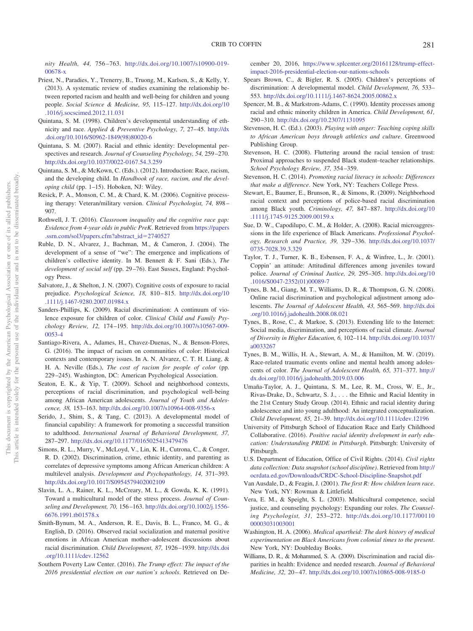*nity Health, 44,* 756 –763. [http://dx.doi.org/10.1007/s10900-019-](http://dx.doi.org/10.1007/s10900-019-00678-x) [00678-x](http://dx.doi.org/10.1007/s10900-019-00678-x)

- <span id="page-14-0"></span>Priest, N., Paradies, Y., Trenerry, B., Truong, M., Karlsen, S., & Kelly, Y. (2013). A systematic review of studies examining the relationship between reported racism and health and well-being for children and young people. *Social Science & Medicine, 95,* 115–127. [http://dx.doi.org/10](http://dx.doi.org/10.1016/j.socscimed.2012.11.031) [.1016/j.socscimed.2012.11.031](http://dx.doi.org/10.1016/j.socscimed.2012.11.031)
- <span id="page-14-5"></span>Quintana, S. M. (1998). Children's developmental understanding of ethnicity and race. *Applied & Preventive Psychology, 7,* 27– 45. [http://dx](http://dx.doi.org/10.1016/S0962-1849%2898%2980020-6) [.doi.org/10.1016/S0962-1849\(98\)80020-6](http://dx.doi.org/10.1016/S0962-1849%2898%2980020-6)
- <span id="page-14-6"></span>Quintana, S. M. (2007). Racial and ethnic identity: Developmental perspectives and research. *Journal of Counseling Psychology, 54,* 259 –270. <http://dx.doi.org/10.1037/0022-0167.54.3.259>
- <span id="page-14-18"></span>Quintana, S. M., & McKown, C. (Eds.). (2012). Introduction: Race, racism, and the developing child. In *Handbook of race, racism, and the developing child* (pp. 1–15). Hoboken, NJ: Wiley.
- <span id="page-14-32"></span>Resick, P. A., Monson, C. M., & Chard, K. M. (2006). Cognitive processing therapy: Veteran/military version. *Clinical Psychologist, 74,* 898 – 907.
- <span id="page-14-8"></span>Rothwell, J. T. (2016). *Classroom inequality and the cognitive race gap: Evidence from 4-year olds in public PreK*. Retrieved from [https://papers](https://papers.ssrn.com/sol3/papers.cfm?abstract_id=2740527) [.ssrn.com/sol3/papers.cfm?abstract\\_id](https://papers.ssrn.com/sol3/papers.cfm?abstract_id=2740527)-2740527
- <span id="page-14-16"></span>Ruble, D. N., Alvarez, J., Bachman, M., & Cameron, J. (2004). The development of a sense of "we": The emergence and implications of children's collective identity. In M. Bennett & F. Sani (Eds.), *The development of social self* (pp. 29 –76). East Sussex, England: Psychology Press.
- <span id="page-14-26"></span>Salvatore, J., & Shelton, J. N. (2007). Cognitive costs of exposure to racial prejudice. *Psychological Science, 18, 810-815. [http://dx.doi.org/10](http://dx.doi.org/10.1111/j.1467-9280.2007.01984.x)* [.1111/j.1467-9280.2007.01984.x](http://dx.doi.org/10.1111/j.1467-9280.2007.01984.x)
- <span id="page-14-9"></span>Sanders-Phillips, K. (2009). Racial discrimination: A continuum of violence exposure for children of color. *Clinical Child and Family Psychology Review, 12,* 174 –195. [http://dx.doi.org/10.1007/s10567-009-](http://dx.doi.org/10.1007/s10567-009-0053-4) [0053-4](http://dx.doi.org/10.1007/s10567-009-0053-4)
- <span id="page-14-27"></span>Santiago-Rivera, A., Adames, H., Chavez-Duenas, N., & Benson-Flores, G. (2016). The impact of racism on communities of color: Historical contexts and contemporary issues. In A. N. Alvarez, C. T. H. Liang, & H. A. Neville (Eds.), *The cost of racism for people of color* (pp. 229 –245). Washington, DC: American Psychological Association.
- <span id="page-14-19"></span>Seaton, E. K., & Yip, T. (2009). School and neighborhood contexts, perceptions of racial discrimination, and psychological well-being among African American adolescents. *Journal of Youth and Adolescence, 38,* 153–163. <http://dx.doi.org/10.1007/s10964-008-9356-x>
- <span id="page-14-25"></span>Serido, J., Shim, S., & Tang, C. (2013). A developmental model of financial capability: A framework for promoting a successful transition to adulthood. *International Journal of Behavioral Development, 37,* 287–297. <http://dx.doi.org/10.1177/0165025413479476>
- <span id="page-14-11"></span>Simons, R. L., Murry, V., McLoyd, V., Lin, K. H., Cutrona, C., & Conger, R. D. (2002). Discrimination, crime, ethnic identity, and parenting as correlates of depressive symptoms among African American children: A multilevel analysis. *Development and Psychopathology, 14,* 371–393. <http://dx.doi.org/10.1017/S0954579402002109>
- <span id="page-14-3"></span>Slavin, L. A., Rainer, K. L., McCreary, M. L., & Gowda, K. K. (1991). Toward a multicultural model of the stress process. *Journal of Counseling and Development, 70,* 156 –163. [http://dx.doi.org/10.1002/j.1556-](http://dx.doi.org/10.1002/j.1556-6676.1991.tb01578.x) [6676.1991.tb01578.x](http://dx.doi.org/10.1002/j.1556-6676.1991.tb01578.x)
- <span id="page-14-31"></span>Smith-Bynum, M. A., Anderson, R. E., Davis, B. L., Franco, M. G., & English, D. (2016). Observed racial socialization and maternal positive emotions in African American mother–adolescent discussions about racial discrimination. *Child Development, 87,* 1926 –1939. [http://dx.doi](http://dx.doi.org/10.1111/cdev.12562) [.org/10.1111/cdev.12562](http://dx.doi.org/10.1111/cdev.12562)
- <span id="page-14-13"></span>Southern Poverty Law Center. (2016). *The Trump effect: The impact of the 2016 presidential election on our nation's schools*. Retrieved on De-

cember 20, 2016, [https://www.splcenter.org/20161128/trump-effect](https://www.splcenter.org/20161128/trump-effect-impact-2016-presidential-election-our-nations-schools)[impact-2016-presidential-election-our-nations-schools](https://www.splcenter.org/20161128/trump-effect-impact-2016-presidential-election-our-nations-schools)

- <span id="page-14-7"></span>Spears Brown, C., & Bigler, R. S. (2005). Children's perceptions of discrimination: A developmental model. *Child Development, 76,* 533– 553. <http://dx.doi.org/10.1111/j.1467-8624.2005.00862.x>
- <span id="page-14-17"></span>Spencer, M. B., & Markstrom-Adams, C. (1990). Identity processes among racial and ethnic minority children in America. *Child Development, 61,* 290 –310. <http://dx.doi.org/10.2307/1131095>
- <span id="page-14-33"></span>Stevenson, H. C. (Ed.). (2003). *Playing with anger: Teaching coping skills to African American boys through athletics and culture*. Greenwood Publishing Group.
- <span id="page-14-24"></span>Stevenson, H. C. (2008). Fluttering around the racial tension of trust: Proximal approaches to suspended Black student–teacher relationships. *School Psychology Review, 37,* 354 –359.
- <span id="page-14-4"></span>Stevenson, H. C. (2014). *Promoting racial literacy in schools: Differences that make a difference*. New York, NY: Teachers College Press.
- <span id="page-14-22"></span>Stewart, E., Baumer, E., Brunson, R., & Simons, R. (2009). Neighborhood racial context and perceptions of police-based racial discrimination among Black youth. *Criminology, 47,* 847– 887. [http://dx.doi.org/10](http://dx.doi.org/10.1111/j.1745-9125.2009.00159.x) [.1111/j.1745-9125.2009.00159.x](http://dx.doi.org/10.1111/j.1745-9125.2009.00159.x)
- <span id="page-14-12"></span>Sue, D. W., Capodilupo, C. M., & Holder, A. (2008). Racial microaggressions in the life experience of Black Americans. *Professional Psychology, Research and Practice, 39,* 329 –336. [http://dx.doi.org/10.1037/](http://dx.doi.org/10.1037/0735-7028.39.3.329) [0735-7028.39.3.329](http://dx.doi.org/10.1037/0735-7028.39.3.329)
- <span id="page-14-23"></span>Taylor, T. J., Turner, K. B., Esbensen, F. A., & Winfree, L., Jr. (2001). Coppin' an attitude: Attitudinal differences among juveniles toward police. *Journal of Criminal Justice, 29,* 295–305. [http://dx.doi.org/10](http://dx.doi.org/10.1016/S0047-2352%2801%2900089-7) [.1016/S0047-2352\(01\)00089-7](http://dx.doi.org/10.1016/S0047-2352%2801%2900089-7)
- <span id="page-14-20"></span>Tynes, B. M., Giang, M. T., Williams, D. R., & Thompson, G. N. (2008). Online racial discrimination and psychological adjustment among adolescents. *The Journal of Adolescent Health, 43,* 565–569. [http://dx.doi](http://dx.doi.org/10.1016/j.jadohealth.2008.08.021) [.org/10.1016/j.jadohealth.2008.08.021](http://dx.doi.org/10.1016/j.jadohealth.2008.08.021)
- <span id="page-14-28"></span>Tynes, B., Rose, C., & Markoe, S. (2013). Extending life to the Internet: Social media, discrimination, and perceptions of racial climate. *Journal of Diversity in Higher Education, 6,* 102–114. [http://dx.doi.org/10.1037/](http://dx.doi.org/10.1037/a0033267) [a0033267](http://dx.doi.org/10.1037/a0033267)
- <span id="page-14-21"></span>Tynes, B. M., Willis, H. A., Stewart, A. M., & Hamilton, M. W. (2019). Race-related traumatic events online and mental health among adolescents of color. *The Journal of Adolescent Health, 65,* 371–377. [http://](http://dx.doi.org/10.1016/j.jadohealth.2019.03.006) [dx.doi.org/10.1016/j.jadohealth.2019.03.006](http://dx.doi.org/10.1016/j.jadohealth.2019.03.006)
- <span id="page-14-15"></span>Umaña-Taylor, A. J., Quintana, S. M., Lee, R. M., Cross, W. E., Jr., Rivas-Drake, D., Schwartz, S. J., . . . the Ethnic and Racial Identity in the 21st Century Study Group. (2014). Ethnic and racial identity during adolescence and into young adulthood: An integrated conceptualization. *Child Development, 85,* 21–39. <http://dx.doi.org/10.1111/cdev.12196>
- <span id="page-14-14"></span>University of Pittsburgh School of Education Race and Early Childhood Collaborative. (2016). *Positive racial identity dvelopment in early education: Understanding PRIDE in Pittsburgh*. Pittsburgh: University of Pittsburgh.
- <span id="page-14-1"></span>U.S. Department of Education, Office of Civil Rights. (2014). *Civil rights data collection: Data snapshot (school discipline)*. Retrieved from [http://](http://ocrdata.ed.gov/Downloads/CRDC-School-Discipline-Snapshot.pdf) [ocrdata.ed.gov/Downloads/CRDC-School-Discipline-Snapshot.pdf](http://ocrdata.ed.gov/Downloads/CRDC-School-Discipline-Snapshot.pdf)
- <span id="page-14-10"></span>Van Ausdale, D., & Feagin, J. (2001). *The first R: How children learn race*. New York, NY: Rowman & Littlefield.
- <span id="page-14-30"></span>Vera, E. M., & Speight, S. L. (2003). Multicultural competence, social justice, and counseling psychology: Expanding our roles. *The Counseling Psychologist, 31,* 253–272. [http://dx.doi.org/10.1177/00110](http://dx.doi.org/10.1177/0011000003031003001) [00003031003001](http://dx.doi.org/10.1177/0011000003031003001)
- <span id="page-14-29"></span>Washington, H. A. (2006). *Medical apartheid: The dark history of medical experimentation on Black Americans from colonial times to the present*. New York, NY: Doubleday Books.
- <span id="page-14-2"></span>Williams, D. R., & Mohammed, S. A. (2009). Discrimination and racial disparities in health: Evidence and needed research. *Journal of Behavioral Medicine, 32,* 20 – 47. <http://dx.doi.org/10.1007/s10865-008-9185-0>